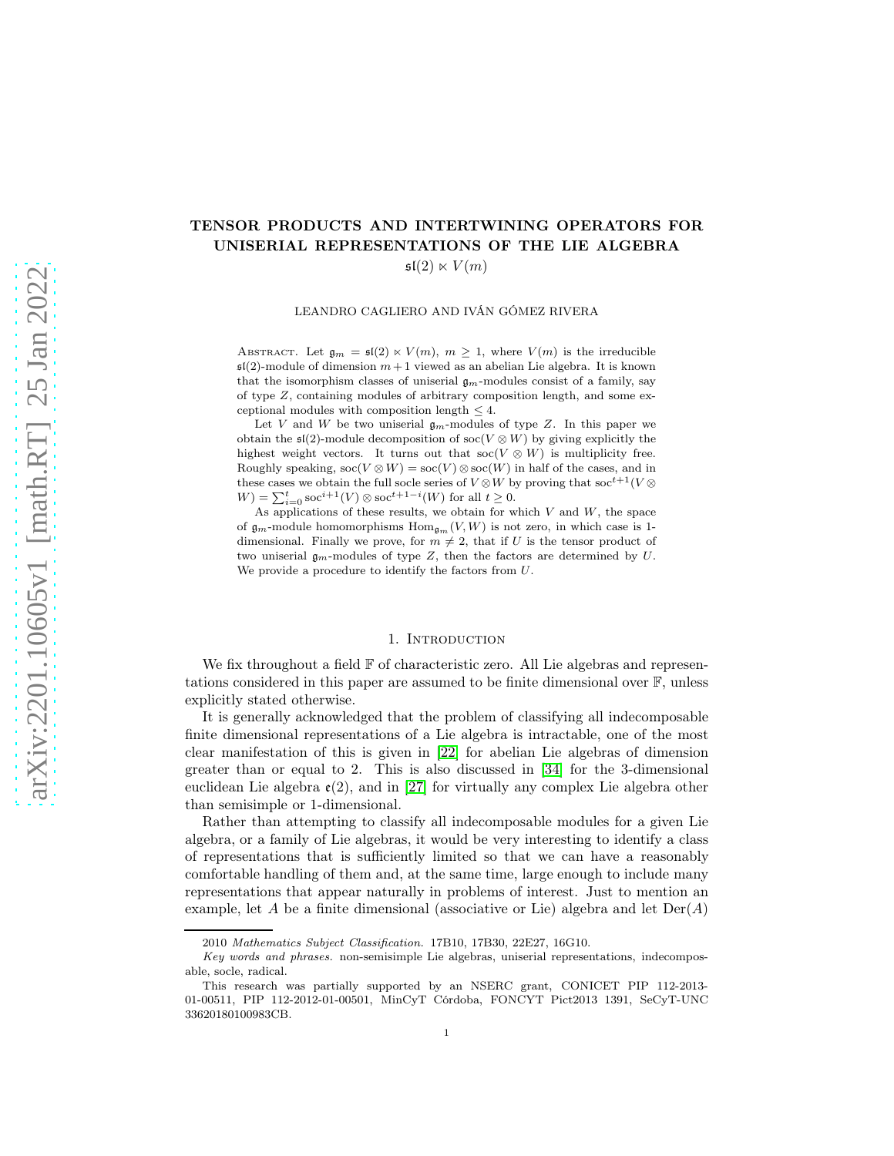# TENSOR PRODUCTS AND INTERTWINING OPERATORS FOR UNISERIAL REPRESENTATIONS OF THE LIE ALGEBRA

 $\mathfrak{sl}(2) \ltimes V(m)$ 

LEANDRO CAGLIERO AND IVÁN GÓMEZ RIVERA

ABSTRACT. Let  $\mathfrak{g}_m = \mathfrak{sl}(2) \ltimes V(m)$ ,  $m \geq 1$ , where  $V(m)$  is the irreducible  $\mathfrak{sl}(2)$ -module of dimension  $m+1$  viewed as an abelian Lie algebra. It is known that the isomorphism classes of uniserial  $g_m$ -modules consist of a family, say of type  $Z$ , containing modules of arbitrary composition length, and some exceptional modules with composition length  $\leq 4$ .

Let V and W be two uniserial  $\mathfrak{g}_m$ -modules of type Z. In this paper we obtain the  $\mathfrak{sl}(2)$ -module decomposition of soc(V  $\otimes$  W) by giving explicitly the highest weight vectors. It turns out that  $\operatorname{soc}(V \otimes W)$  is multiplicity free. Roughly speaking,  $\operatorname{soc}(V \otimes W) = \operatorname{soc}(V) \otimes \operatorname{soc}(W)$  in half of the cases, and in these cases we obtain the full socle series of  $V\mathop{\otimes} W$  by proving that  $\operatorname{soc}^{t+1}(V\mathop{\otimes}$  $W = \sum_{i=0}^{t} \operatorname{soc}^{i+1}(V) \otimes \operatorname{soc}^{t+1-i}(W)$  for all  $t \ge 0$ .

As applications of these results, we obtain for which  $V$  and  $W$ , the space of  $\mathfrak{g}_m$ -module homomorphisms  $\text{Hom}_{\mathfrak{g}_m}(V, W)$  is not zero, in which case is 1dimensional. Finally we prove, for  $m \neq 2$ , that if U is the tensor product of two uniserial  $\mathfrak{g}_m$ -modules of type Z, then the factors are determined by U. We provide a procedure to identify the factors from U.

#### 1. INTRODUCTION

We fix throughout a field  $\mathbb F$  of characteristic zero. All Lie algebras and representations considered in this paper are assumed to be finite dimensional over  $\mathbb{F}$ , unless explicitly stated otherwise.

It is generally acknowledged that the problem of classifying all indecomposable finite dimensional representations of a Lie algebra is intractable, one of the most clear manifestation of this is given in [\[22\]](#page-28-0) for abelian Lie algebras of dimension greater than or equal to 2. This is also discussed in [\[34\]](#page-28-1) for the 3-dimensional euclidean Lie algebra  $\varepsilon(2)$ , and in [\[27\]](#page-28-2) for virtually any complex Lie algebra other than semisimple or 1-dimensional.

Rather than attempting to classify all indecomposable modules for a given Lie algebra, or a family of Lie algebras, it would be very interesting to identify a class of representations that is sufficiently limited so that we can have a reasonably comfortable handling of them and, at the same time, large enough to include many representations that appear naturally in problems of interest. Just to mention an example, let A be a finite dimensional (associative or Lie) algebra and let  $Der(A)$ 

<sup>2010</sup> Mathematics Subject Classification. 17B10, 17B30, 22E27, 16G10.

Key words and phrases. non-semisimple Lie algebras, uniserial representations, indecomposable, socle, radical.

This research was partially supported by an NSERC grant, CONICET PIP 112-2013- 01-00511, PIP 112-2012-01-00501, MinCyT Córdoba, FONCYT Pict2013 1391, SeCyT-UNC 33620180100983CB.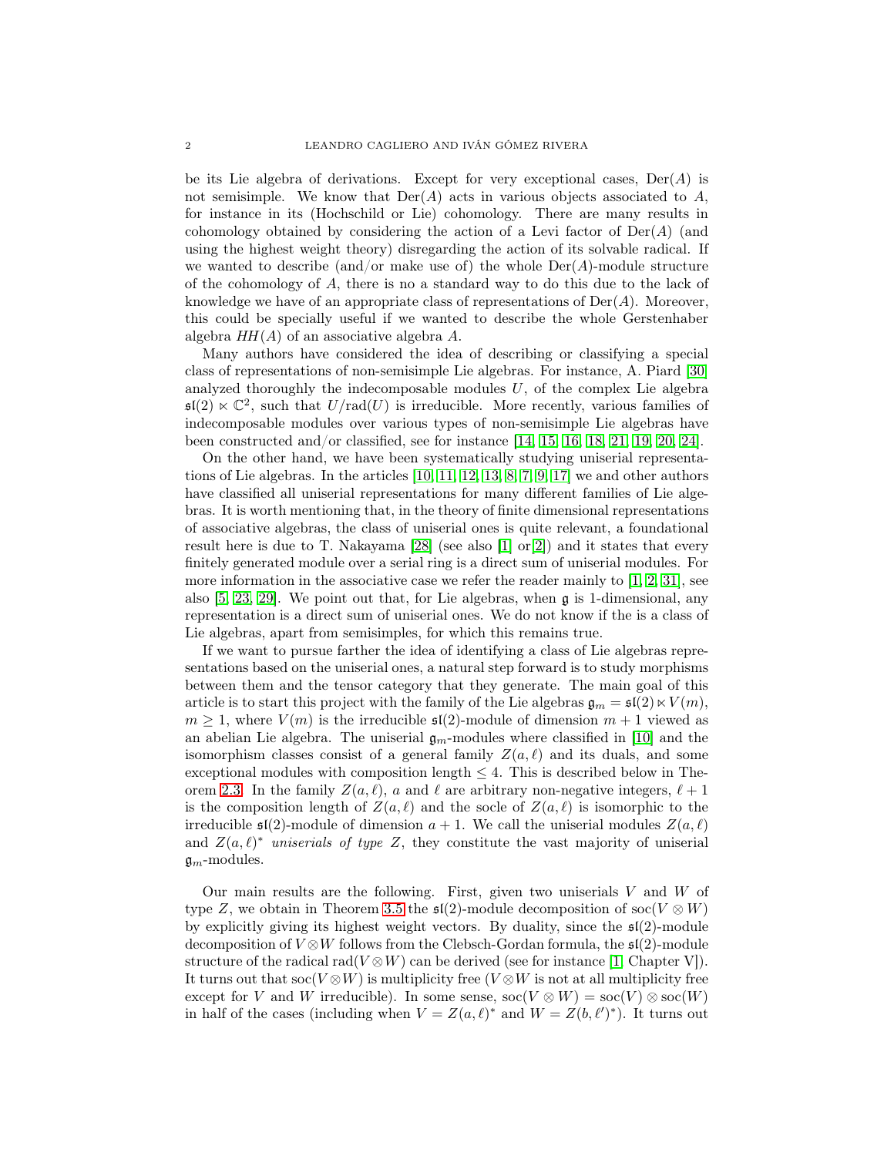be its Lie algebra of derivations. Except for very exceptional cases,  $Der(A)$  is not semisimple. We know that  $Der(A)$  acts in various objects associated to A, for instance in its (Hochschild or Lie) cohomology. There are many results in cohomology obtained by considering the action of a Levi factor of  $Der(A)$  (and using the highest weight theory) disregarding the action of its solvable radical. If we wanted to describe (and/or make use of) the whole  $Der(A)$ -module structure of the cohomology of A, there is no a standard way to do this due to the lack of knowledge we have of an appropriate class of representations of  $Der(A)$ . Moreover, this could be specially useful if we wanted to describe the whole Gerstenhaber algebra  $HH(A)$  of an associative algebra A.

Many authors have considered the idea of describing or classifying a special class of representations of non-semisimple Lie algebras. For instance, A. Piard [\[30\]](#page-28-3) analyzed thoroughly the indecomposable modules  $U$ , of the complex Lie algebra  $\mathfrak{sl}(2) \ltimes \mathbb{C}^2$ , such that  $U/\text{rad}(U)$  is irreducible. More recently, various families of indecomposable modules over various types of non-semisimple Lie algebras have been constructed and/or classified, see for instance [\[14,](#page-28-4) [15,](#page-28-5) [16,](#page-28-6) [18,](#page-28-7) [21,](#page-28-8) [19,](#page-28-9) [20,](#page-28-10) [24\]](#page-28-11).

On the other hand, we have been systematically studying uniserial representations of Lie algebras. In the articles [\[10,](#page-27-0) [11,](#page-28-12) [12,](#page-28-13) [13,](#page-28-14) [8,](#page-27-1) [7,](#page-27-2) [9,](#page-27-3) [17\]](#page-28-15) we and other authors have classified all uniserial representations for many different families of Lie algebras. It is worth mentioning that, in the theory of finite dimensional representations of associative algebras, the class of uniserial ones is quite relevant, a foundational result here is due to T. Nakayama [\[28\]](#page-28-16) (see also [\[1\]](#page-27-4) or[\[2\]](#page-27-5)) and it states that every finitely generated module over a serial ring is a direct sum of uniserial modules. For more information in the associative case we refer the reader mainly to  $(1, 2, 31]$  $(1, 2, 31]$  $(1, 2, 31]$ , see also [\[5,](#page-27-6) [23,](#page-28-18) [29\]](#page-28-19). We point out that, for Lie algebras, when g is 1-dimensional, any representation is a direct sum of uniserial ones. We do not know if the is a class of Lie algebras, apart from semisimples, for which this remains true.

If we want to pursue farther the idea of identifying a class of Lie algebras representations based on the uniserial ones, a natural step forward is to study morphisms between them and the tensor category that they generate. The main goal of this article is to start this project with the family of the Lie algebras  $\mathfrak{g}_m = \mathfrak{sl}(2) \ltimes V(m)$ ,  $m \geq 1$ , where  $V(m)$  is the irreducible  $\mathfrak{sl}(2)$ -module of dimension  $m+1$  viewed as an abelian Lie algebra. The uniserial  $\mathfrak{g}_m$ -modules where classified in [\[10\]](#page-27-0) and the isomorphism classes consist of a general family  $Z(a, \ell)$  and its duals, and some exceptional modules with composition length  $\leq 4$ . This is described below in The-orem [2.3.](#page-8-0) In the family  $Z(a, \ell)$ , a and  $\ell$  are arbitrary non-negative integers,  $\ell + 1$ is the composition length of  $Z(a,\ell)$  and the socle of  $Z(a,\ell)$  is isomorphic to the irreducible  $\mathfrak{sl}(2)$ -module of dimension  $a + 1$ . We call the uniserial modules  $Z(a, \ell)$ and  $Z(a, \ell)^*$  uniserials of type Z, they constitute the vast majority of uniserial  $\mathfrak{g}_m$ -modules.

Our main results are the following. First, given two uniserials  $V$  and  $W$  of type Z, we obtain in Theorem [3.5](#page-20-0) the  $\mathfrak{sl}(2)$ -module decomposition of soc $(V \otimes W)$ by explicitly giving its highest weight vectors. By duality, since the sl(2)-module decomposition of  $V \otimes W$  follows from the Clebsch-Gordan formula, the  $\mathfrak{sl}(2)$ -module structure of the radical rad( $V \otimes W$ ) can be derived (see for instance [\[1,](#page-27-4) Chapter V]). It turns out that soc(V  $\otimes W$ ) is multiplicity free (V  $\otimes W$  is not at all multiplicity free except for V and W irreducible). In some sense,  $\operatorname{soc}(V \otimes W) = \operatorname{soc}(V) \otimes \operatorname{soc}(W)$ in half of the cases (including when  $V = Z(a, \ell)^*$  and  $W = Z(b, \ell')^*$ ). It turns out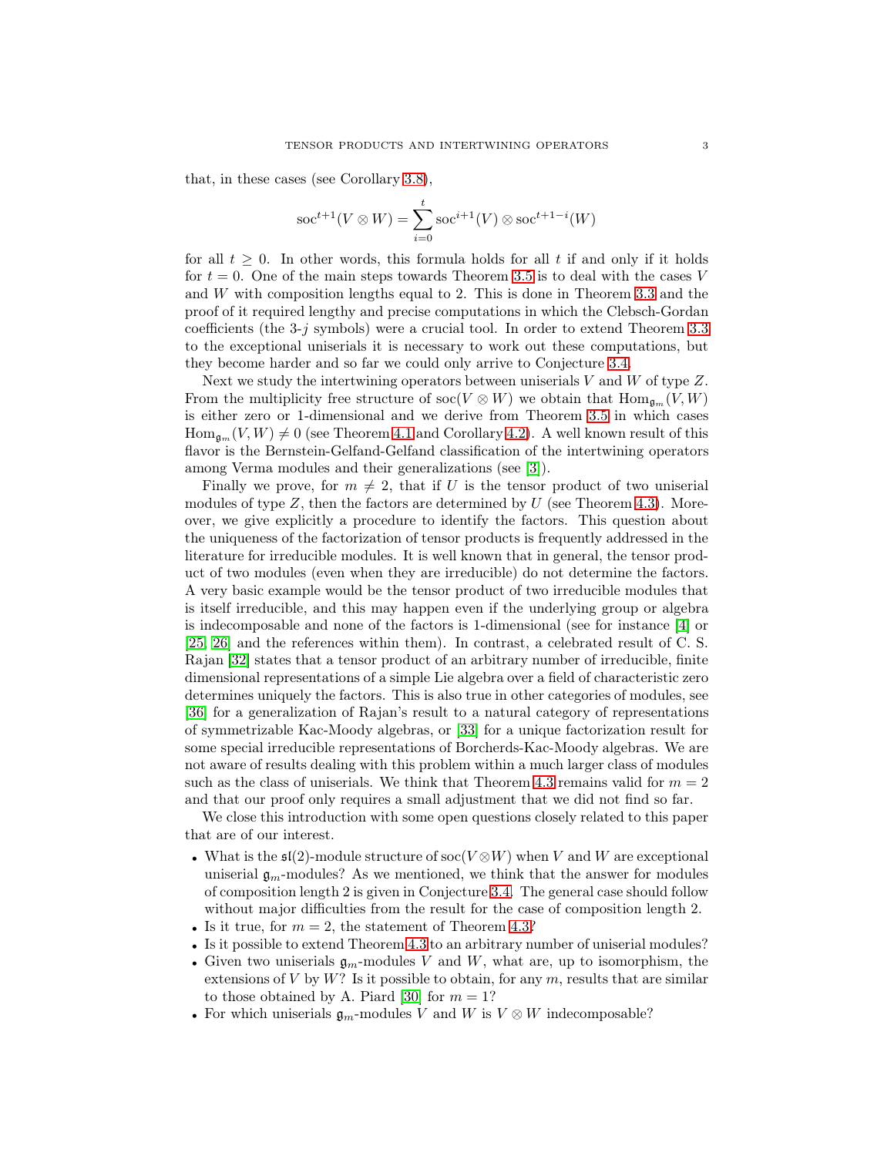that, in these cases (see Corollary [3.8\)](#page-22-0),

$$
\operatorname{soc}^{t+1}(V \otimes W) = \sum_{i=0}^{t} \operatorname{soc}^{i+1}(V) \otimes \operatorname{soc}^{t+1-i}(W)
$$

for all  $t \geq 0$ . In other words, this formula holds for all t if and only if it holds for  $t = 0$ . One of the main steps towards Theorem [3.5](#page-20-0) is to deal with the cases V and W with composition lengths equal to 2. This is done in Theorem [3.3](#page-11-0) and the proof of it required lengthy and precise computations in which the Clebsch-Gordan coefficients (the 3-j symbols) were a crucial tool. In order to extend Theorem [3.3](#page-11-0) to the exceptional uniserials it is necessary to work out these computations, but they become harder and so far we could only arrive to Conjecture [3.4.](#page-12-0)

Next we study the intertwining operators between uniserials V and W of type  $Z$ . From the multiplicity free structure of soc( $V \otimes W$ ) we obtain that  $\text{Hom}_{\mathfrak{g}_m}(V, W)$ is either zero or 1-dimensional and we derive from Theorem [3.5](#page-20-0) in which cases  $\text{Hom}_{\mathfrak{g}_m}(V, W) \neq 0$  (see Theorem [4.1](#page-23-0) and Corollary [4.2\)](#page-24-0). A well known result of this flavor is the Bernstein-Gelfand-Gelfand classification of the intertwining operators among Verma modules and their generalizations (see [\[3\]](#page-27-7)).

Finally we prove, for  $m \neq 2$ , that if U is the tensor product of two uniserial modules of type  $Z$ , then the factors are determined by  $U$  (see Theorem [4.3\)](#page-25-0). Moreover, we give explicitly a procedure to identify the factors. This question about the uniqueness of the factorization of tensor products is frequently addressed in the literature for irreducible modules. It is well known that in general, the tensor product of two modules (even when they are irreducible) do not determine the factors. A very basic example would be the tensor product of two irreducible modules that is itself irreducible, and this may happen even if the underlying group or algebra is indecomposable and none of the factors is 1-dimensional (see for instance [\[4\]](#page-27-8) or [\[25,](#page-28-20) [26\]](#page-28-21) and the references within them). In contrast, a celebrated result of C. S. Rajan [\[32\]](#page-28-22) states that a tensor product of an arbitrary number of irreducible, finite dimensional representations of a simple Lie algebra over a field of characteristic zero determines uniquely the factors. This is also true in other categories of modules, see [\[36\]](#page-28-23) for a generalization of Rajan's result to a natural category of representations of symmetrizable Kac-Moody algebras, or [\[33\]](#page-28-24) for a unique factorization result for some special irreducible representations of Borcherds-Kac-Moody algebras. We are not aware of results dealing with this problem within a much larger class of modules such as the class of uniserials. We think that Theorem [4.3](#page-25-0) remains valid for  $m = 2$ and that our proof only requires a small adjustment that we did not find so far.

We close this introduction with some open questions closely related to this paper that are of our interest.

- What is the  $\mathfrak{sl}(2)$ -module structure of  $\operatorname{soc}(V \otimes W)$  when V and W are exceptional uniserial  $\mathfrak{g}_m$ -modules? As we mentioned, we think that the answer for modules of composition length 2 is given in Conjecture [3.4.](#page-12-0) The general case should follow without major difficulties from the result for the case of composition length 2.
- Is it true, for  $m = 2$ , the statement of Theorem [4.3?](#page-25-0)
- Is it possible to extend Theorem [4.3](#page-25-0) to an arbitrary number of uniserial modules?
- Given two uniserials  $\mathfrak{g}_m$ -modules V and W, what are, up to isomorphism, the extensions of  $V$  by  $W$ ? Is it possible to obtain, for any  $m$ , results that are similar to those obtained by A. Piard [\[30\]](#page-28-3) for  $m = 1$ ?
- For which uniserials  $\mathfrak{g}_m$ -modules V and W is  $V \otimes W$  indecomposable?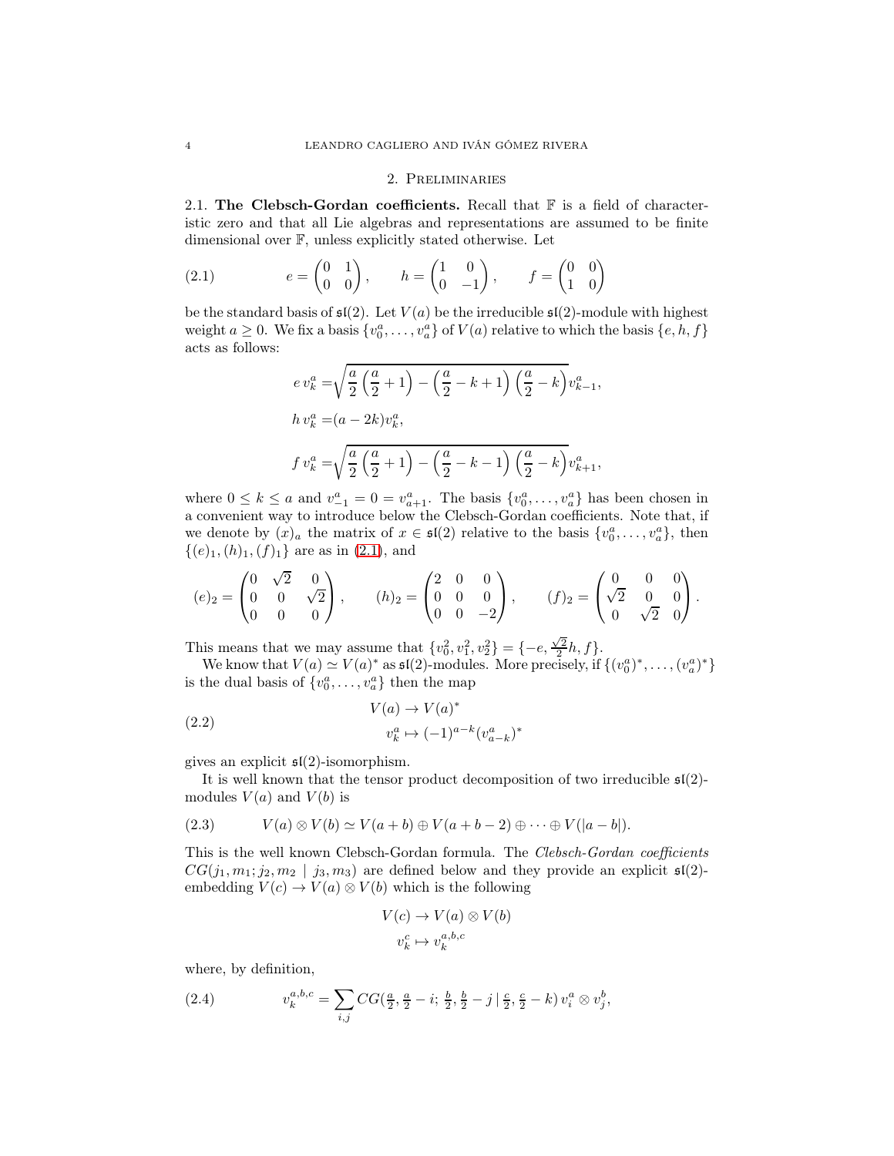### 2. Preliminaries

2.1. The Clebsch-Gordan coefficients. Recall that  $\mathbb F$  is a field of characteristic zero and that all Lie algebras and representations are assumed to be finite dimensional over F, unless explicitly stated otherwise. Let

(2.1) 
$$
e = \begin{pmatrix} 0 & 1 \\ 0 & 0 \end{pmatrix}, \qquad h = \begin{pmatrix} 1 & 0 \\ 0 & -1 \end{pmatrix}, \qquad f = \begin{pmatrix} 0 & 0 \\ 1 & 0 \end{pmatrix}
$$

be the standard basis of  $\mathfrak{sl}(2)$ . Let  $V(a)$  be the irreducible  $\mathfrak{sl}(2)$ -module with highest weight  $a \geq 0$ . We fix a basis  $\{v_0^a, \ldots, v_a^a\}$  of  $V(a)$  relative to which the basis  $\{e, h, f\}$ acts as follows:

<span id="page-3-0"></span>
$$
ev_k^a = \sqrt{\frac{a}{2} \left(\frac{a}{2} + 1\right)} - \left(\frac{a}{2} - k + 1\right) \left(\frac{a}{2} - k\right)} v_{k-1}^a,
$$
  
\n
$$
hv_k^a = (a - 2k)v_k^a,
$$
  
\n
$$
fv_k^a = \sqrt{\frac{a}{2} \left(\frac{a}{2} + 1\right) - \left(\frac{a}{2} - k - 1\right) \left(\frac{a}{2} - k\right)} v_{k+1}^a,
$$

where  $0 \leq k \leq a$  and  $v_{-1}^a = 0 = v_{a+1}^a$ . The basis  $\{v_0^a, \ldots, v_a^a\}$  has been chosen in a convenient way to introduce below the Clebsch-Gordan coefficients. Note that, if we denote by  $(x)_a$  the matrix of  $x \in \mathfrak{sl}(2)$  relative to the basis  $\{v_0^a, \ldots, v_a^a\}$ , then  $\{(e)_1,(h)_1,(f)_1\}$  are as in  $(2.1)$ , and

$$
(e)_2 = \begin{pmatrix} 0 & \sqrt{2} & 0 \\ 0 & 0 & \sqrt{2} \\ 0 & 0 & 0 \end{pmatrix}, \qquad (h)_2 = \begin{pmatrix} 2 & 0 & 0 \\ 0 & 0 & 0 \\ 0 & 0 & -2 \end{pmatrix}, \qquad (f)_2 = \begin{pmatrix} 0 & 0 & 0 \\ \sqrt{2} & 0 & 0 \\ 0 & \sqrt{2} & 0 \end{pmatrix}.
$$

This means that we may assume that  $\{v_0^2, v_1^2, v_2^2\} = \{-e, \frac{\sqrt{2}}{2}h, f\}.$ 

We know that  $V(a) \simeq V(a)^*$  as  $\mathfrak{sl}(2)$ -modules. More precisely, if  $\{(v_0^a)^*, \ldots, (v_a^a)^*\}$ is the dual basis of  $\{v_0^a, \ldots, v_a^a\}$  then the map

<span id="page-3-1"></span>(2.2) 
$$
V(a) \to V(a)^{*}
$$

$$
v_k^a \mapsto (-1)^{a-k} (v_{a-k}^a)^{*}
$$

gives an explicit  $\mathfrak{sl}(2)$ -isomorphism.

It is well known that the tensor product decomposition of two irreducible  $\mathfrak{sl}(2)$ modules  $V(a)$  and  $V(b)$  is

<span id="page-3-3"></span>(2.3) 
$$
V(a) \otimes V(b) \simeq V(a+b) \oplus V(a+b-2) \oplus \cdots \oplus V(|a-b|).
$$

This is the well known Clebsch-Gordan formula. The Clebsch-Gordan coefficients  $CG(j_1, m_1; j_2, m_2 | j_3, m_3)$  are defined below and they provide an explicit  $\mathfrak{sl}(2)$ embedding  $V(c) \rightarrow V(a) \otimes V(b)$  which is the following

$$
V(c) \to V(a) \otimes V(b)
$$

$$
v_k^c \mapsto v_k^{a,b,c}
$$

where, by definition,

<span id="page-3-2"></span>(2.4) 
$$
v_k^{a,b,c} = \sum_{i,j} CG(\frac{a}{2}, \frac{a}{2} - i; \frac{b}{2}, \frac{b}{2} - j | \frac{c}{2}, \frac{c}{2} - k) v_i^a \otimes v_j^b,
$$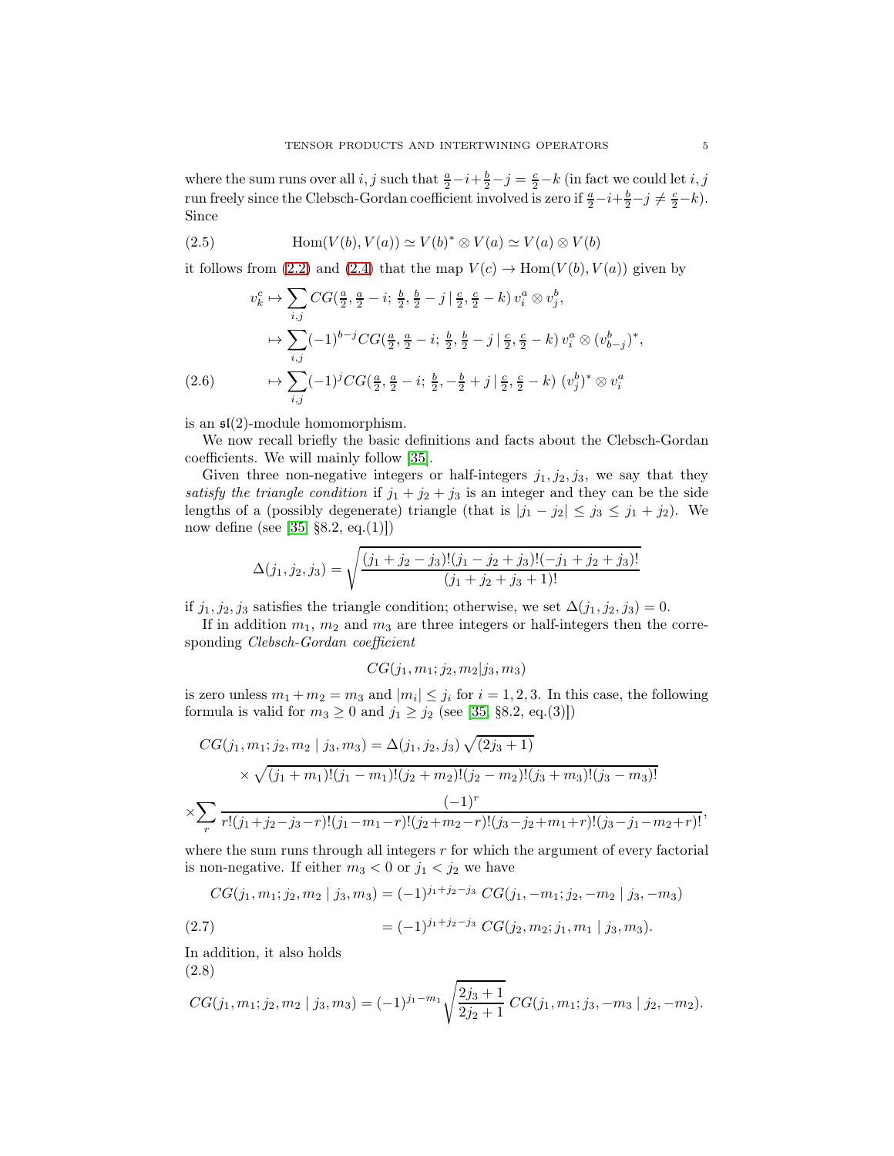where the sum runs over all  $i, j$  such that  $\frac{a}{2} - i + \frac{b}{2} - j = \frac{c}{2} - k$  (in fact we could let  $i, j$ run freely since the Clebsch-Gordan coefficient involved is zero if  $\frac{a}{2}-i+\frac{b}{2}-j \neq \frac{c}{2}-k$ . Since

<span id="page-4-0"></span>(2.5) 
$$
\text{Hom}(V(b), V(a)) \simeq V(b)^* \otimes V(a) \simeq V(a) \otimes V(b)
$$

it follows from [\(2.2\)](#page-3-1) and [\(2.4\)](#page-3-2) that the map  $V(c) \to \text{Hom}(V(b), V(a))$  given by

$$
v_k^c \mapsto \sum_{i,j} CG(\frac{a}{2}, \frac{a}{2} - i; \frac{b}{2}, \frac{b}{2} - j | \frac{c}{2}, \frac{c}{2} - k) v_i^a \otimes v_j^b,
$$
  

$$
\mapsto \sum_{i,j} (-1)^{b-j} CG(\frac{a}{2}, \frac{a}{2} - i; \frac{b}{2}, \frac{b}{2} - j | \frac{c}{2}, \frac{c}{2} - k) v_i^a \otimes (v_{b-j}^b)^*,
$$
  
(2.6) 
$$
\mapsto \sum_{i,j} (-1)^j CG(\frac{a}{2}, \frac{a}{2} - i; \frac{b}{2}, -\frac{b}{2} + j | \frac{c}{2}, \frac{c}{2} - k) (v_j^b)^* \otimes v_i^a
$$

<span id="page-4-1"></span>is an  $\mathfrak{sl}(2)$ -module homomorphism.

We now recall briefly the basic definitions and facts about the Clebsch-Gordan coefficients. We will mainly follow [\[35\]](#page-28-25).

Given three non-negative integers or half-integers  $j_1, j_2, j_3$ , we say that they satisfy the triangle condition if  $j_1 + j_2 + j_3$  is an integer and they can be the side lengths of a (possibly degenerate) triangle (that is  $|j_1 - j_2| \le j_3 \le j_1 + j_2$ ). We now define (see [\[35,](#page-28-25) §8.2, eq.(1)])

$$
\Delta(j_1, j_2, j_3) = \sqrt{\frac{(j_1 + j_2 - j_3)!(j_1 - j_2 + j_3)!(-j_1 + j_2 + j_3)!}{(j_1 + j_2 + j_3 + 1)!}}
$$

if  $j_1, j_2, j_3$  satisfies the triangle condition; otherwise, we set  $\Delta(j_1, j_2, j_3) = 0$ .

If in addition  $m_1$ ,  $m_2$  and  $m_3$  are three integers or half-integers then the corresponding Clebsch-Gordan coefficient

$$
CG(j_1, m_1; j_2, m_2| j_3, m_3)
$$

is zero unless  $m_1 + m_2 = m_3$  and  $|m_i| \leq j_i$  for  $i = 1, 2, 3$ . In this case, the following formula is valid for  $m_3 \ge 0$  and  $j_1 \ge j_2$  (see [\[35,](#page-28-25) §8.2, eq.(3)])

$$
CG(j_1, m_1; j_2, m_2 | j_3, m_3) = \Delta(j_1, j_2, j_3) \sqrt{(2j_3 + 1)}
$$
  
\$\times \sqrt{(j\_1 + m\_1)!(j\_1 - m\_1)!(j\_2 + m\_2)!(j\_2 - m\_2)!(j\_3 + m\_3)!(j\_3 - m\_3)!}\$  
\$\sum\_{r} \frac{(-1)^r}{r!(j\_1 + j\_2 - j\_3 - r)!(j\_1 - m\_1 - r)!(j\_2 + m\_2 - r)!(j\_3 - j\_2 + m\_1 + r)!(j\_3 - j\_1 - m\_2 + r)!}\$

where the sum runs through all integers  $r$  for which the argument of every factorial is non-negative. If either  $m_3 < 0$  or  $j_1 < j_2$  we have

<span id="page-4-3"></span>
$$
CG(j_1, m_1; j_2, m_2 | j_3, m_3) = (-1)^{j_1+j_2-j_3} CG(j_1, -m_1; j_2, -m_2 | j_3, -m_3)
$$
  
(2.7) 
$$
= (-1)^{j_1+j_2-j_3} CG(j_2, m_2; j_1, m_1 | j_3, m_3).
$$

In addition, it also holds (2.8)

<span id="page-4-2"></span>
$$
CG(j_1, m_1; j_2, m_2 | j_3, m_3) = (-1)^{j_1 - m_1} \sqrt{\frac{2j_3 + 1}{2j_2 + 1}} CG(j_1, m_1; j_3, -m_3 | j_2, -m_2).
$$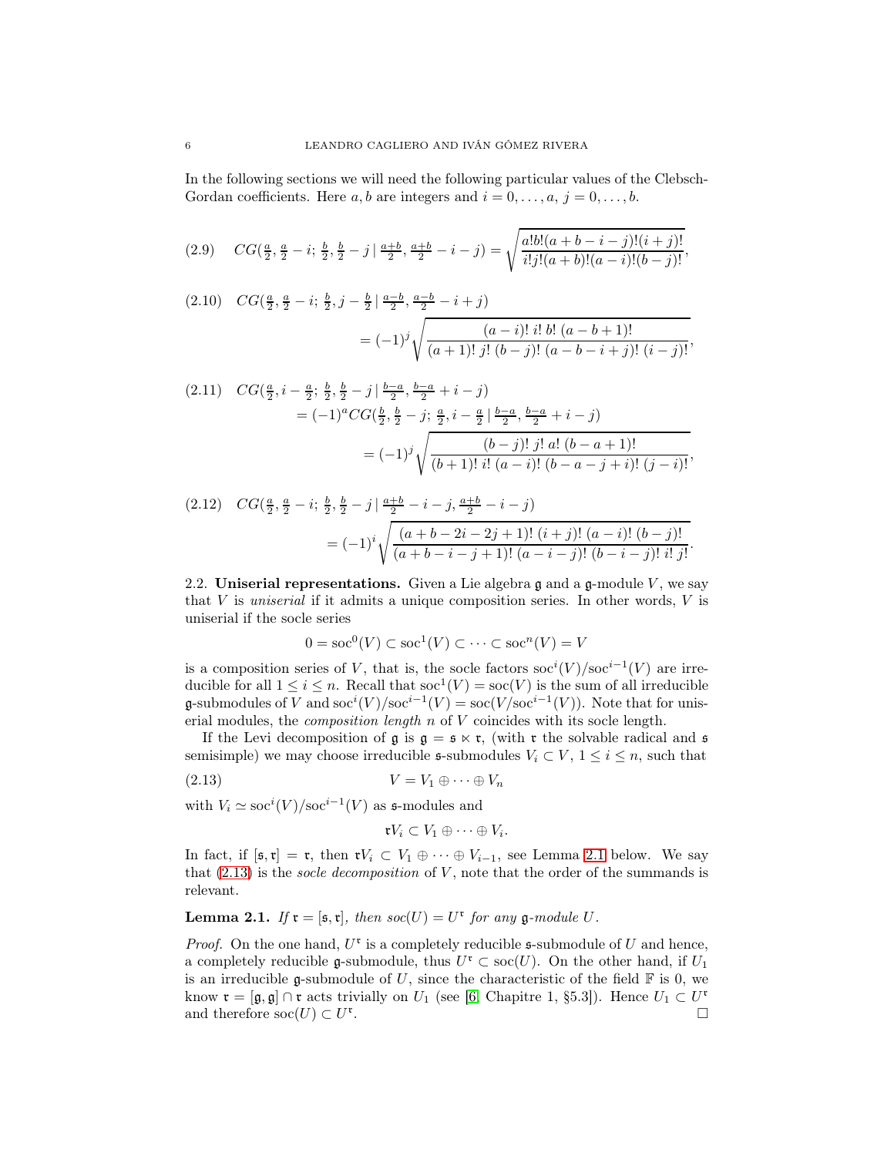In the following sections we will need the following particular values of the Clebsch-Gordan coefficients. Here  $a, b$  are integers and  $i = 0, \ldots, a, j = 0, \ldots, b$ .

$$
(2.9) \quad CG(\frac{a}{2}, \frac{a}{2} - i; \frac{b}{2}, \frac{b}{2} - j | \frac{a+b}{2}, \frac{a+b}{2} - i - j) = \sqrt{\frac{a!b!(a+b-i-j)!(i+j)!}{i!j!(a+b)!(a-i)!(b-j)!}},
$$

$$
(2.10) \quad CG(\frac{a}{2}, \frac{a}{2} - i; \frac{b}{2}, j - \frac{b}{2} | \frac{a-b}{2}, \frac{a-b}{2} - i + j)
$$

$$
= (-1)^j \sqrt{\frac{(a-i)! i! b! (a-b+1)!}{(a+1)! j! (b-j)! (a-b-i+j)! (i-j)!}},
$$

$$
(2.11) \quad CG(\frac{a}{2}, i - \frac{a}{2}; \frac{b}{2}, \frac{b}{2} - j | \frac{b-a}{2}, \frac{b-a}{2} + i - j)
$$
  
=  $(-1)^{a} CG(\frac{b}{2}, \frac{b}{2} - j; \frac{a}{2}, i - \frac{a}{2} | \frac{b-a}{2}, \frac{b-a}{2} + i - j)$   
=  $(-1)^{j} \sqrt{\frac{(b-j)! \ j! \ a! \ (b-a+1)!}{(b+1)! \ i! \ (a-i)! \ (b-a-j+i)! \ (j-i)!}},$ 

<span id="page-5-2"></span>
$$
(2.12) \quad CG(\frac{a}{2}, \frac{a}{2} - i; \frac{b}{2}, \frac{b}{2} - j \mid \frac{a+b}{2} - i - j, \frac{a+b}{2} - i - j)
$$
  
=  $(-1)^i \sqrt{\frac{(a+b-2i-2j+1)! (i+j)! (a-i)! (b-j)!}{(a+b-i-j+1)! (a-i-j)! (b-i-j)! i! j!}}.$ 

2.2. Uniserial representations. Given a Lie algebra  $\mathfrak g$  and a  $\mathfrak g$ -module V, we say that V is uniserial if it admits a unique composition series. In other words, V is uniserial if the socle series

$$
0 = \operatorname{soc}^0(V) \subset \operatorname{soc}^1(V) \subset \cdots \subset \operatorname{soc}^n(V) = V
$$

is a composition series of V, that is, the socle factors  $\operatorname{soc}^i(V)/\operatorname{soc}^{i-1}(V)$  are irreducible for all  $1 \leq i \leq n$ . Recall that  $\operatorname{soc}(\overline{V}) = \operatorname{soc}(V)$  is the sum of all irreducible **g**-submodules of V and soc<sup>*i*</sup>(V)/soc<sup>*i*-1</sup>(V) = soc(V/soc<sup>*i*-1</sup>(V)). Note that for uniserial modules, the composition length n of V coincides with its socle length.

If the Levi decomposition of  $\mathfrak g$  is  $\mathfrak g = \mathfrak s \ltimes \mathfrak r$ , (with  $\mathfrak r$  the solvable radical and  $\mathfrak s$ semisimple) we may choose irreducible  $\mathfrak{s}$ -submodules  $V_i \subset V$ ,  $1 \leq i \leq n$ , such that

$$
(2.13) \t\t V = V_1 \oplus \cdots \oplus V_n
$$

with  $V_i \simeq \text{soc}^i(V)/\text{soc}^{i-1}(V)$  as s-modules and

<span id="page-5-1"></span>
$$
\mathfrak{r} V_i \subset V_1 \oplus \cdots \oplus V_i.
$$

In fact, if  $[\mathfrak{s},\mathfrak{r}] = \mathfrak{r}$ , then  $\mathfrak{r}V_i \subset V_1 \oplus \cdots \oplus V_{i-1}$ , see Lemma [2.1](#page-5-0) below. We say that  $(2.13)$  is the *socle decomposition* of V, note that the order of the summands is relevant.

# <span id="page-5-0"></span>**Lemma 2.1.** If  $\mathfrak{r} = [\mathfrak{s}, \mathfrak{r}],$  then  $\mathfrak{soc}(U) = U^{\mathfrak{r}}$  for any  $\mathfrak{g}\text{-module } U$ .

*Proof.* On the one hand,  $U^{\mathfrak{r}}$  is a completely reducible  $\mathfrak{s}$ -submodule of U and hence, a completely reducible g-submodule, thus  $U^r \subset \text{soc}(U)$ . On the other hand, if  $U_1$ is an irreducible g-submodule of U, since the characteristic of the field  $\mathbb F$  is 0, we know  $\mathfrak{r} = [\mathfrak{g}, \mathfrak{g}] \cap \mathfrak{r}$  acts trivially on  $U_1$  (see [\[6,](#page-27-9) Chapitre 1, §5.3]). Hence  $U_1 \subset U^*$ and therefore  $\operatorname{soc}(U) \subset U^{\mathfrak{r}}$ .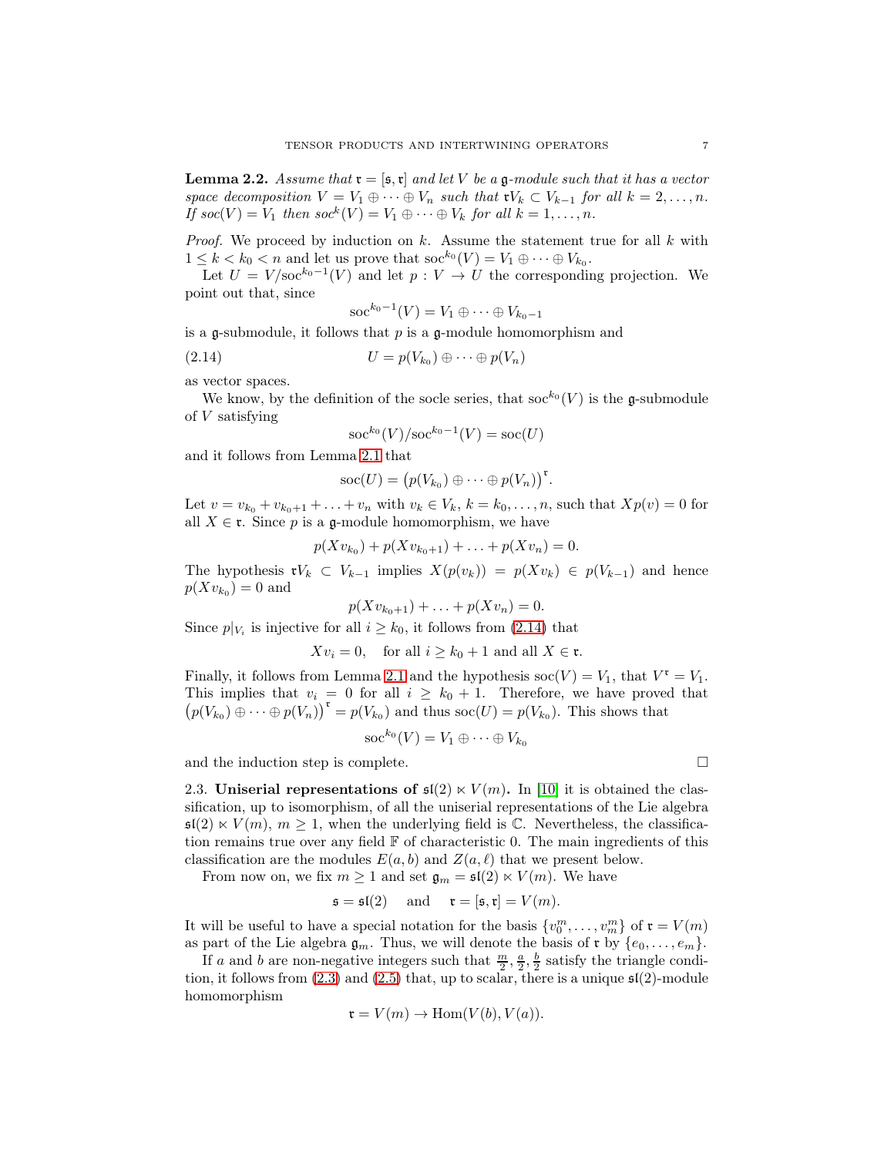<span id="page-6-2"></span>**Lemma 2.2.** Assume that  $\mathfrak{r} = [\mathfrak{s},\mathfrak{r}]$  and let V be a g-module such that it has a vector space decomposition  $V = V_1 \oplus \cdots \oplus V_n$  such that  $\mathfrak{r} V_k \subset V_{k-1}$  for all  $k = 2, \ldots, n$ . If  $\textit{soc}(V) = V_1$  then  $\textit{soc}^k(V) = V_1 \oplus \cdots \oplus V_k$  for all  $k = 1, \ldots, n$ .

*Proof.* We proceed by induction on  $k$ . Assume the statement true for all  $k$  with  $1 \leq k < k_0 < n$  and let us prove that  $\operatorname{soc}^{k_0}(V) = V_1 \oplus \cdots \oplus V_{k_0}$ .

Let  $U = V / soc^{k_0-1}(V)$  and let  $p : V \to U$  the corresponding projection. We point out that, since

<span id="page-6-0"></span>
$$
\operatorname{soc}^{k_0-1}(V) = V_1 \oplus \cdots \oplus V_{k_0-1}
$$

is a g-submodule, it follows that  $p$  is a g-module homomorphism and

$$
(2.14) \t\t\t U = p(V_{k_0}) \oplus \cdots \oplus p(V_n)
$$

as vector spaces.

We know, by the definition of the socle series, that  $\operatorname{soc}^{k_0}(V)$  is the g-submodule of V satisfying

$$
\operatorname{soc}^{k_0}(V)/\operatorname{soc}^{k_0-1}(V)=\operatorname{soc}(U)
$$

and it follows from Lemma [2.1](#page-5-0) that

$$
\operatorname{soc}(U) = (p(V_{k_0}) \oplus \cdots \oplus p(V_n))^{r}.
$$

Let  $v = v_{k_0} + v_{k_0+1} + ... + v_n$  with  $v_k \in V_k$ ,  $k = k_0, ..., n$ , such that  $Xp(v) = 0$  for all  $X \in \mathfrak{r}$ . Since p is a g-module homomorphism, we have

$$
p(Xv_{k_0}) + p(Xv_{k_0+1}) + \ldots + p(Xv_n) = 0.
$$

The hypothesis  $\mathfrak{r}V_k \subset V_{k-1}$  implies  $X(p(v_k)) = p(Xv_k) \in p(V_{k-1})$  and hence  $p(Xv_{k_0})=0$  and

$$
p(Xv_{k_0+1}) + \ldots + p(Xv_n) = 0.
$$

Since  $p|_{V_i}$  is injective for all  $i \geq k_0$ , it follows from [\(2.14\)](#page-6-0) that

$$
Xv_i = 0
$$
, for all  $i \ge k_0 + 1$  and all  $X \in \mathfrak{r}$ .

Finally, it follows from Lemma [2.1](#page-5-0) and the hypothesis  $\operatorname{soc}(V) = V_1$ , that  $V^r = V_1$ . This implies that  $v_i = 0$  for all  $i \geq k_0 + 1$ . Therefore, we have proved that  $(p(V_{k_0}) \oplus \cdots \oplus p(V_n))^{r} = p(V_{k_0})$  and thus soc $(U) = p(V_{k_0})$ . This shows that

$$
\operatorname{soc}^{k_0}(V)=V_1\oplus\cdots\oplus V_{k_0}
$$

<span id="page-6-1"></span>and the induction step is complete.  $\Box$ 

2.3. Uniserial representations of  $\mathfrak{sl}(2) \ltimes V(m)$ . In [\[10\]](#page-27-0) it is obtained the classification, up to isomorphism, of all the uniserial representations of the Lie algebra  $\mathfrak{sl}(2) \ltimes V(m), m \geq 1$ , when the underlying field is C. Nevertheless, the classification remains true over any field  $\mathbb F$  of characteristic 0. The main ingredients of this classification are the modules  $E(a, b)$  and  $Z(a, \ell)$  that we present below.

From now on, we fix  $m \geq 1$  and set  $\mathfrak{g}_m = \mathfrak{sl}(2) \ltimes V(m)$ . We have

$$
\mathfrak{s} = \mathfrak{sl}(2)
$$
 and  $\mathfrak{r} = [\mathfrak{s}, \mathfrak{r}] = V(m)$ .

It will be useful to have a special notation for the basis  $\{v_0^m, \ldots, v_m^m\}$  of  $\mathfrak{r} = V(m)$ as part of the Lie algebra  $\mathfrak{g}_m$ . Thus, we will denote the basis of  $\mathfrak{r}$  by  $\{e_0, \ldots, e_m\}$ .

If a and b are non-negative integers such that  $\frac{m}{2}, \frac{a}{2}, \frac{b}{2}$  satisfy the triangle condition, it follows from  $(2.3)$  and  $(2.5)$  that, up to scalar, there is a unique  $\mathfrak{sl}(2)$ -module homomorphism

$$
\mathfrak{r} = V(m) \to \text{Hom}(V(b), V(a)).
$$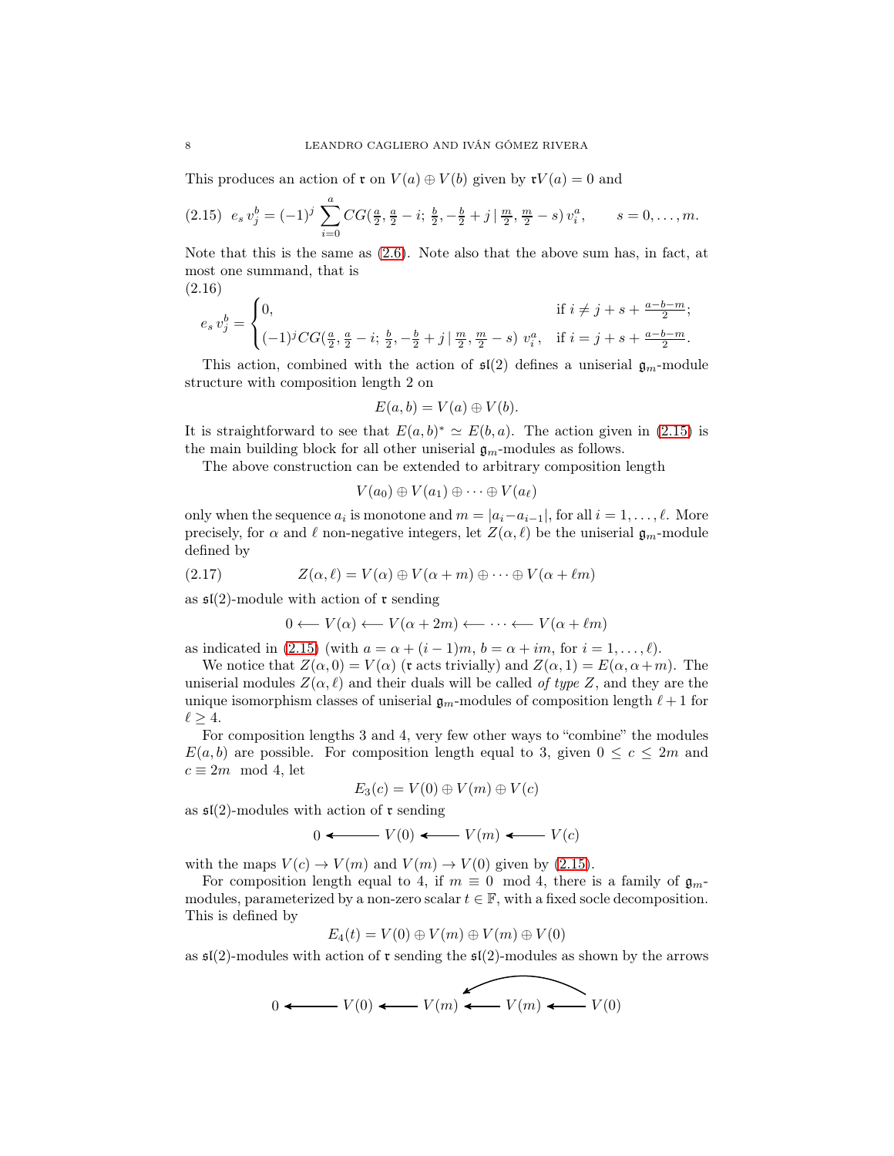This produces an action of  $\mathfrak{r}$  on  $V(a) \oplus V(b)$  given by  $\mathfrak{r}V(a) = 0$  and

<span id="page-7-0"></span>
$$
(2.15) \ \ e_s \ v_j^b = (-1)^j \ \sum_{i=0}^a CG(\tfrac{a}{2}, \tfrac{a}{2} - i; \ \tfrac{b}{2}, -\tfrac{b}{2} + j \mid \tfrac{m}{2}, \tfrac{m}{2} - s) \ v_i^a, \qquad s = 0, \dots, m.
$$

Note that this is the same as [\(2.6\)](#page-4-1). Note also that the above sum has, in fact, at most one summand, that is (2.16)

<span id="page-7-1"></span>
$$
e_s v_j^b = \begin{cases} 0, & \text{if } i \neq j+s + \frac{a-b-m}{2};\\ (-1)^j CG(\frac{a}{2},\frac{a}{2}-i;\frac{b}{2},-\frac{b}{2}+j \,|\, \frac{m}{2},\frac{m}{2}-s) \ v_i^a, & \text{if } i = j+s + \frac{a-b-m}{2}. \end{cases}
$$

This action, combined with the action of  $\mathfrak{sl}(2)$  defines a uniserial  $\mathfrak{g}_m$ -module structure with composition length 2 on

$$
E(a,b) = V(a) \oplus V(b).
$$

It is straightforward to see that  $E(a, b)^* \simeq E(b, a)$ . The action given in [\(2.15\)](#page-7-0) is the main building block for all other uniserial  $\mathfrak{g}_m$ -modules as follows.

The above construction can be extended to arbitrary composition length

$$
V(a_0)\oplus V(a_1)\oplus\cdots\oplus V(a_\ell)
$$

only when the sequence  $a_i$  is monotone and  $m = |a_i - a_{i-1}|$ , for all  $i = 1, ..., \ell$ . More precisely, for  $\alpha$  and  $\ell$  non-negative integers, let  $Z(\alpha, \ell)$  be the uniserial  $\mathfrak{g}_m$ -module defined by

(2.17) 
$$
Z(\alpha, \ell) = V(\alpha) \oplus V(\alpha + m) \oplus \cdots \oplus V(\alpha + \ell m)
$$

as  $\mathfrak{sl}(2)$ -module with action of  $\mathfrak r$  sending

$$
0 \longleftarrow V(\alpha) \longleftarrow V(\alpha + 2m) \longleftarrow \cdots \longleftarrow V(\alpha + \ell m)
$$

as indicated in [\(2.15\)](#page-7-0) (with  $a = \alpha + (i - 1)m$ ,  $b = \alpha + im$ , for  $i = 1, \ldots, \ell$ ).

We notice that  $Z(\alpha, 0) = V(\alpha)$  (**r** acts trivially) and  $Z(\alpha, 1) = E(\alpha, \alpha + m)$ . The uniserial modules  $Z(\alpha, \ell)$  and their duals will be called of type Z, and they are the unique isomorphism classes of uniserial  $\mathfrak{g}_m$ -modules of composition length  $\ell+1$  for  $\ell \geq 4$ .

For composition lengths 3 and 4, very few other ways to "combine" the modules  $E(a, b)$  are possible. For composition length equal to 3, given  $0 \leq c \leq 2m$  and  $c \equiv 2m \mod 4$ , let

$$
E_3(c) = V(0) \oplus V(m) \oplus V(c)
$$

as  $\mathfrak{sl}(2)$ -modules with action of  $\mathfrak r$  sending

$$
0 \longleftarrow V(0) \longleftarrow V(m) \longleftarrow V(c)
$$

with the maps  $V(c) \rightarrow V(m)$  and  $V(m) \rightarrow V(0)$  given by [\(2.15\)](#page-7-0).

For composition length equal to 4, if  $m \equiv 0 \mod 4$ , there is a family of  $\mathfrak{g}_m$ modules, parameterized by a non-zero scalar  $t \in \mathbb{F}$ , with a fixed socle decomposition. This is defined by

$$
E_4(t) = V(0) \oplus V(m) \oplus V(m) \oplus V(0)
$$

as  $\mathfrak{sl}(2)$ -modules with action of **r** sending the  $\mathfrak{sl}(2)$ -modules as shown by the arrows

$$
0 \longleftarrow V(0) \longleftarrow V(m) \longleftarrow V(m) \longleftarrow V(0)
$$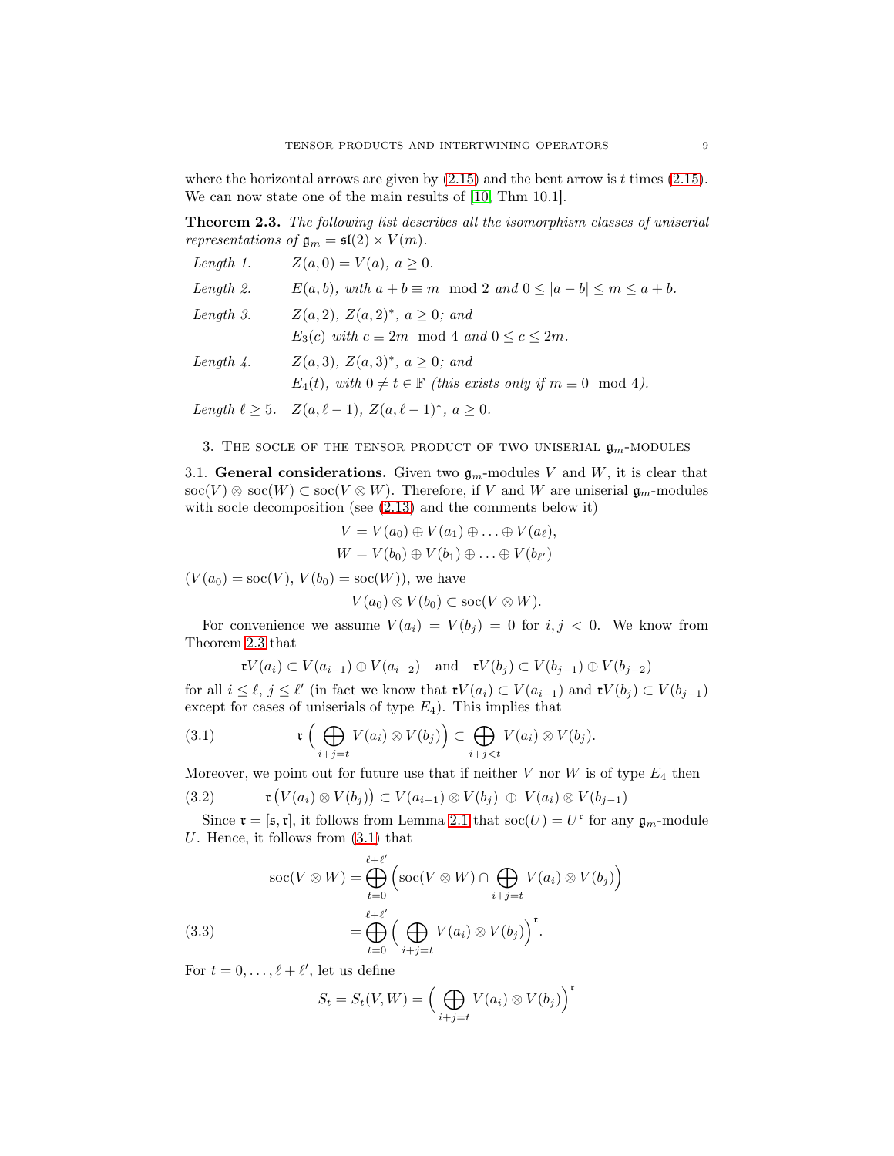where the horizontal arrows are given by  $(2.15)$  and the bent arrow is t times  $(2.15)$ . We can now state one of the main results of [\[10,](#page-27-0) Thm 10.1].

<span id="page-8-0"></span>Theorem 2.3. The following list describes all the isomorphism classes of uniserial representations of  $\mathfrak{g}_m = \mathfrak{sl}(2) \ltimes V(m)$ .

| Length $1$ .       | $Z(a, 0) = V(a), a \geq 0.$                                                       |
|--------------------|-----------------------------------------------------------------------------------|
| Length 2.          | $E(a, b)$ , with $a + b \equiv m \mod 2$ and $0 \leq  a - b  \leq m \leq a + b$ . |
| Length $3.$        | $Z(a, 2), Z(a, 2)^*, a \geq 0; and$                                               |
|                    | $E_3(c)$ with $c \equiv 2m \mod 4$ and $0 \leq c \leq 2m$ .                       |
| Length $\lambda$ . | $Z(a,3), Z(a,3)^*, a \geq 0; and$                                                 |

 $E_4(t)$ , with  $0 \neq t \in \mathbb{F}$  (this exists only if  $m \equiv 0 \mod 4$ ).

Length  $\ell \ge 5$ .  $Z(a, \ell - 1)$ ,  $Z(a, \ell - 1)^*$ ,  $a \ge 0$ .

#### 3. THE SOCLE OF THE TENSOR PRODUCT OF TWO UNISERIAL  $\mathfrak{g}_m$ -MODULES

3.1. General considerations. Given two  $\mathfrak{g}_m$ -modules V and W, it is clear that soc(V)  $\otimes$  soc(W)  $\subset$  soc(V $\otimes$ W). Therefore, if V and W are uniserial  $\mathfrak{g}_m$ -modules with socle decomposition (see [\(2.13\)](#page-5-1) and the comments below it)

$$
V = V(a_0) \oplus V(a_1) \oplus \ldots \oplus V(a_\ell),
$$
  

$$
W = V(b_0) \oplus V(b_1) \oplus \ldots \oplus V(b_{\ell'})
$$

 $(V(a_0) = \text{soc}(V), V(b_0) = \text{soc}(W)$ , we have

 $V(a_0) \otimes V(b_0) \subset \text{soc}(V \otimes W).$ 

For convenience we assume  $V(a_i) = V(b_j) = 0$  for  $i, j < 0$ . We know from Theorem [2.3](#page-8-0) that

<span id="page-8-1"></span>
$$
\mathfrak{r} V(a_i) \subset V(a_{i-1}) \oplus V(a_{i-2}) \quad \text{and} \quad \mathfrak{r} V(b_j) \subset V(b_{j-1}) \oplus V(b_{j-2})
$$

for all  $i \leq \ell, j \leq \ell'$  (in fact we know that  $\mathfrak{r}V(a_i) \subset V(a_{i-1})$  and  $\mathfrak{r}V(b_j) \subset V(b_{j-1})$ except for cases of uniserials of type  $E_4$ ). This implies that

(3.1) 
$$
\mathfrak{r}\left(\bigoplus_{i+j=t}V(a_i)\otimes V(b_j)\right)\subset \bigoplus_{i+j
$$

Moreover, we point out for future use that if neither V nor W is of type  $E_4$  then

<span id="page-8-2"></span>(3.2) 
$$
\mathfrak{r}\left(V(a_i)\otimes V(b_j)\right)\subset V(a_{i-1})\otimes V(b_j)\,\oplus\,V(a_i)\otimes V(b_{j-1})
$$

Since  $\mathfrak{r} = [\mathfrak{s}, \mathfrak{r}]$ , it follows from Lemma [2.1](#page-5-0) that  $\operatorname{soc}(U) = U^{\mathfrak{r}}$  for any  $\mathfrak{g}_m$ -module U. Hence, it follows from  $(3.1)$  that

(3.3) 
$$
\operatorname{soc}(V \otimes W) = \bigoplus_{t=0}^{\ell+\ell'} \left( \operatorname{soc}(V \otimes W) \cap \bigoplus_{i+j=t} V(a_i) \otimes V(b_j) \right)
$$

$$
= \bigoplus_{t=0}^{\ell+\ell'} \left( \bigoplus_{i+j=t} V(a_i) \otimes V(b_j) \right)^{\mathfrak{r}}.
$$

<span id="page-8-3"></span>For  $t = 0, \ldots, \ell + \ell'$ , let us define

$$
S_t = S_t(V, W) = \left(\bigoplus_{i+j=t} V(a_i) \otimes V(b_j)\right)^{\mathfrak{r}}
$$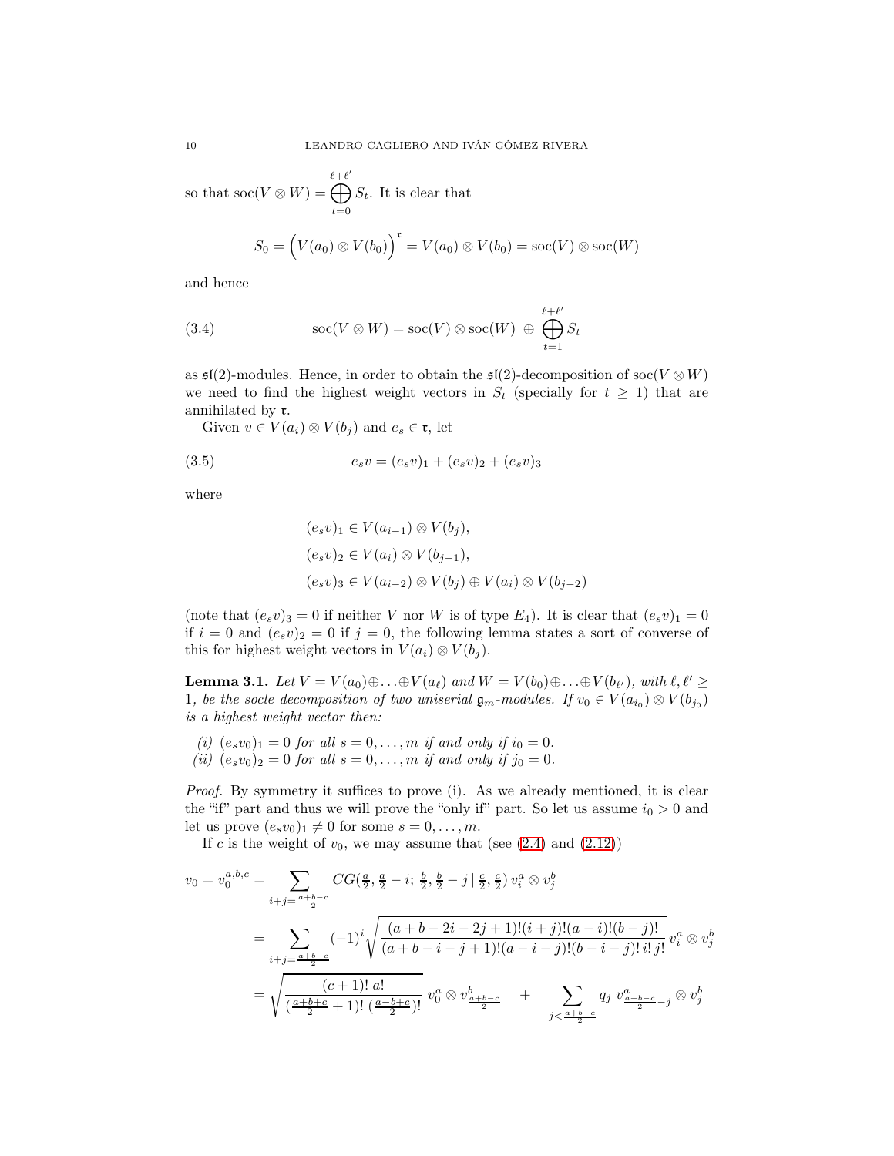so that  $\operatorname{soc}(V \otimes W) =$  $\bigoplus^{\ell+\ell'}$  $t=0$  $S_t$ . It is clear that

<span id="page-9-2"></span>
$$
S_0 = \left(V(a_0) \otimes V(b_0)\right)^{\mathfrak{r}} = V(a_0) \otimes V(b_0) = \operatorname{soc}(V) \otimes \operatorname{soc}(W)
$$

and hence

(3.4) 
$$
\operatorname{soc}(V \otimes W) = \operatorname{soc}(V) \otimes \operatorname{soc}(W) \oplus \bigoplus_{t=1}^{\ell+\ell'} S_t
$$

as  $\mathfrak{sl}(2)$ -modules. Hence, in order to obtain the  $\mathfrak{sl}(2)$ -decomposition of soc $(V \otimes W)$ we need to find the highest weight vectors in  $S_t$  (specially for  $t \geq 1$ ) that are annihilated by r.

Given  $v \in V(a_i) \otimes V(b_j)$  and  $e_s \in \mathfrak{r}$ , let

(3.5) 
$$
e_s v = (e_s v)_1 + (e_s v)_2 + (e_s v)_3
$$

where

<span id="page-9-0"></span>
$$
(e_s v)_1 \in V(a_{i-1}) \otimes V(b_j),
$$
  
\n
$$
(e_s v)_2 \in V(a_i) \otimes V(b_{j-1}),
$$
  
\n
$$
(e_s v)_3 \in V(a_{i-2}) \otimes V(b_j) \oplus V(a_i) \otimes V(b_{j-2})
$$

(note that  $(e_s v)_3 = 0$  if neither V nor W is of type  $E_4$ ). It is clear that  $(e_s v)_1 = 0$ if  $i = 0$  and  $(e_s v)_2 = 0$  if  $j = 0$ , the following lemma states a sort of converse of this for highest weight vectors in  $V(a_i) \otimes V(b_i)$ .

<span id="page-9-1"></span>**Lemma 3.1.** Let  $V = V(a_0) \oplus \ldots \oplus V(a_\ell)$  and  $W = V(b_0) \oplus \ldots \oplus V(b_{\ell'}),$  with  $\ell, \ell' \geq 0$ 1, be the socle decomposition of two uniserial  $\mathfrak{g}_m$ -modules. If  $v_0 \in V(a_{i_0}) \otimes V(b_{j_0})$ is a highest weight vector then:

(i)  $(e_s v_0)_1 = 0$  for all  $s = 0, ..., m$  if and only if  $i_0 = 0$ . (ii)  $(e_s v_0)_2 = 0$  for all  $s = 0, ..., m$  if and only if  $j_0 = 0$ .

Proof. By symmetry it suffices to prove (i). As we already mentioned, it is clear the "if" part and thus we will prove the "only if" part. So let us assume  $i_0 > 0$  and let us prove  $(e_s v_0)_1 \neq 0$  for some  $s = 0, \ldots, m$ .

If c is the weight of  $v_0$ , we may assume that (see [\(2.4\)](#page-3-2) and [\(2.12\)](#page-5-2))

$$
v_0 = v_0^{a,b,c} = \sum_{i+j = \frac{a+b-c}{2}} CG(\frac{a}{2}, \frac{a}{2} - i; \frac{b}{2}, \frac{b}{2} - j | \frac{c}{2}, \frac{c}{2}) v_i^a \otimes v_j^b
$$
  

$$
= \sum_{i+j = \frac{a+b-c}{2}} (-1)^i \sqrt{\frac{(a+b-2i-2j+1)!(i+j)!(a-i)!(b-j)!}{(a+b-i-j+1)!(a-i-j)!(b-i-j)!i!j!}} v_i^a \otimes v_j^b
$$
  

$$
= \sqrt{\frac{(c+1)! \ a!}{(\frac{a+b+c}{2}+1)!(\frac{a-b+c}{2})!}} v_0^a \otimes v_{\frac{a+b-c}{2}}^b + \sum_{j < \frac{a+b-c}{2} - j} q_j v_{\frac{a+b-c}{2} - j}^a \otimes v_j^b
$$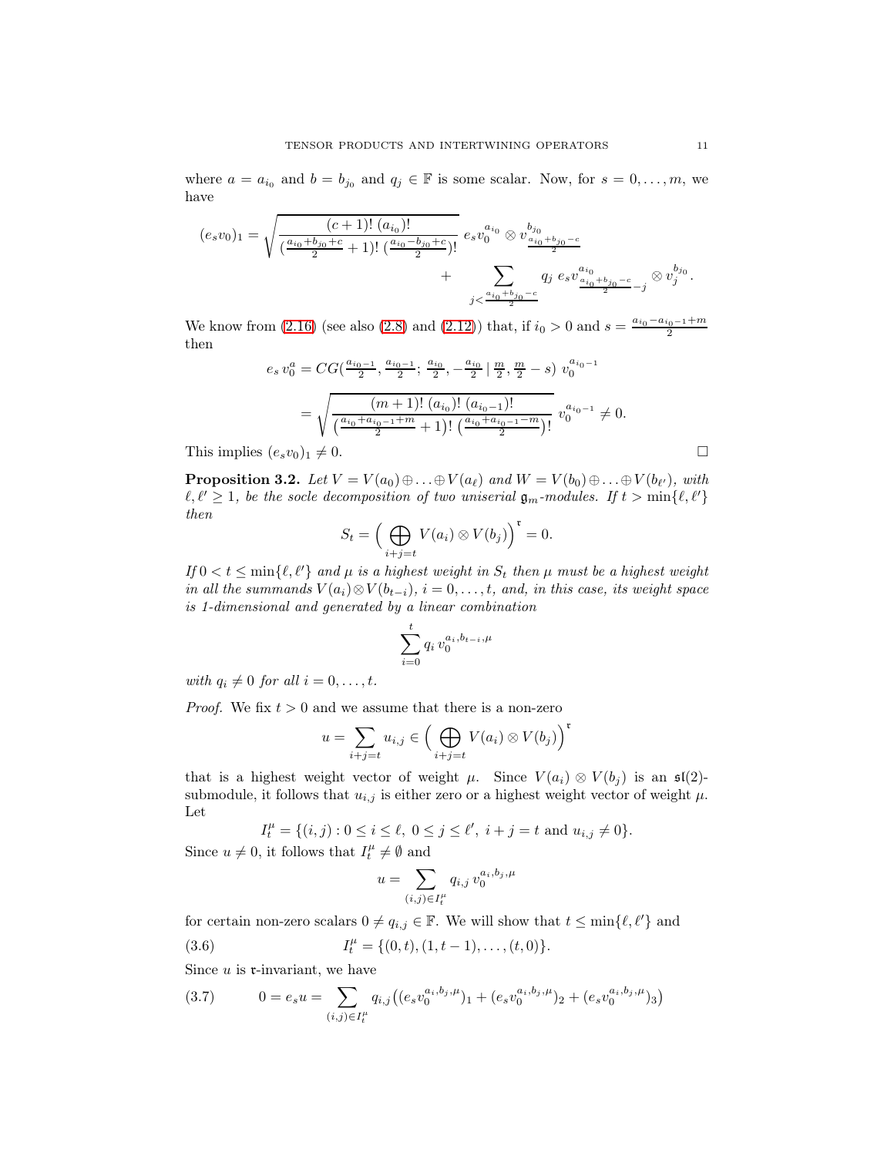where  $a = a_{i_0}$  and  $b = b_{j_0}$  and  $q_j \in \mathbb{F}$  is some scalar. Now, for  $s = 0, \ldots, m$ , we have

$$
(e_s v_0)_1 = \sqrt{\frac{(c+1)! (a_{i_0})!}{(\frac{a_{i_0}+b_{j_0}+c}{2}+1)! (\frac{a_{i_0}-b_{j_0}+c}{2})!}} e_s v_0^{a_{i_0}} \otimes v_{\frac{a_{i_0}+b_{j_0}-c}{2}}^{b_{j_0}} + \sum_{j < \frac{a_{i_0}+b_{j_0}-c}{2}} q_j e_s v_{\frac{a_{i_0}+b_{j_0}-c}{2}-j}^{a_{i_0}} \otimes v_j^{b_{j_0}}.
$$

We know from [\(2.16\)](#page-7-1) (see also [\(2.8\)](#page-4-2) and [\(2.12\)](#page-5-2)) that, if  $i_0 > 0$  and  $s = \frac{a_{i_0} - a_{i_0 - 1} + m}{2}$ then

$$
e_s v_0^a = CG(\frac{a_{i_0-1}}{2}, \frac{a_{i_0-1}}{2}; \frac{a_{i_0}}{2}, -\frac{a_{i_0}}{2} | \frac{m}{2}, \frac{m}{2} - s) v_0^{a_{i_0-1}}
$$
  
= 
$$
\sqrt{\frac{(m+1)! (a_{i_0})! (a_{i_0-1})!}{(\frac{a_{i_0} + a_{i_0-1} + m}{2} + 1)! (\frac{a_{i_0} + a_{i_0-1} - m}{2})!} v_0^{a_{i_0-1}} \neq 0.
$$
  
This implies  $(e_s v_0)_1 \neq 0.$ 

<span id="page-10-2"></span>**Proposition 3.2.** Let  $V = V(a_0) \oplus \ldots \oplus V(a_\ell)$  and  $W = V(b_0) \oplus \ldots \oplus V(b_{\ell'}),$  with  $\ell, \ell' \geq 1$ , be the socle decomposition of two uniserial  $\mathfrak{g}_m$ -modules. If  $t > \min\{\ell, \ell'\}$ then

$$
S_t = \Big(\bigoplus_{i+j=t} V(a_i) \otimes V(b_j)\Big)^{\mathfrak{r}} = 0.
$$

If  $0 < t \leq \min\{\ell, \ell'\}$  and  $\mu$  is a highest weight in  $S_t$  then  $\mu$  must be a highest weight in all the summands  $V(a_i) \otimes V(b_{t-i}), i = 0, \ldots, t$ , and, in this case, its weight space is 1-dimensional and generated by a linear combination

$$
\sum_{i=0}^{t} q_i v_0^{a_i, b_{t-i}, \mu}
$$

with  $q_i \neq 0$  for all  $i = 0, \ldots, t$ .

*Proof.* We fix  $t > 0$  and we assume that there is a non-zero

$$
u = \sum_{i+j=t} u_{i,j} \in \left(\bigoplus_{i+j=t} V(a_i) \otimes V(b_j)\right)^{\mathfrak{r}}
$$

that is a highest weight vector of weight  $\mu$ . Since  $V(a_i) \otimes V(b_j)$  is an  $\mathfrak{sl}(2)$ submodule, it follows that  $u_{i,j}$  is either zero or a highest weight vector of weight  $\mu$ . Let

$$
I_t^{\mu} = \{(i, j) : 0 \le i \le \ell, 0 \le j \le \ell', i + j = t \text{ and } u_{i,j} \ne 0\}.
$$
  
Since  $u \ne 0$ , it follows that  $I_t^{\mu} \ne \emptyset$  and

<span id="page-10-1"></span>
$$
u=\sum_{(i,j)\in I_t^\mu}q_{i,j}\,v_0^{a_i,b_j,\mu}
$$

for certain non-zero scalars  $0 \neq q_{i,j} \in \mathbb{F}$ . We will show that  $t \leq \min\{\ell, \ell'\}$  and

(3.6) 
$$
I_t^{\mu} = \{(0, t), (1, t - 1), \dots, (t, 0)\}.
$$

Since  $u$  is  $\mathfrak{r}\text{-invariant}$ , we have

<span id="page-10-0"></span>
$$
(3.7) \t 0 = e_s u = \sum_{(i,j) \in I_t^{\mu}} q_{i,j} \left( (e_s v_0^{a_i, b_j, \mu})_1 + (e_s v_0^{a_i, b_j, \mu})_2 + (e_s v_0^{a_i, b_j, \mu})_3 \right)
$$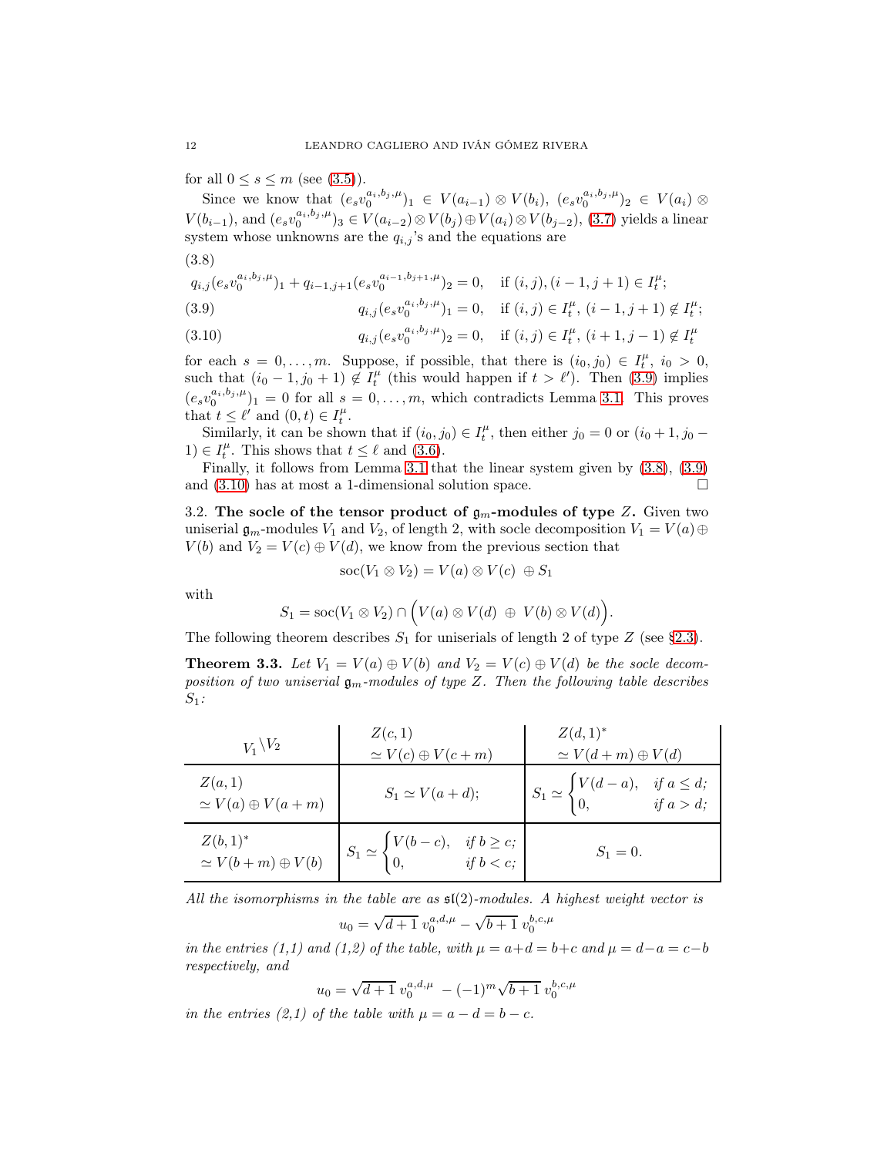for all  $0 \leq s \leq m$  (see [\(3.5\)](#page-9-0)).

Since we know that  $(e_s v_0^{a_i, b_j, \mu})_1 \in V(a_{i-1}) \otimes V(b_i), (e_s v_0^{a_i, b_j, \mu})_2 \in V(a_i) \otimes$  $V(b_{i-1}),$  and  $(e_sv_0^{a_i,b_j,\mu})_3 \in V(a_{i-2}) \otimes V(b_j) \oplus V(a_i) \otimes V(b_{j-2}),$  [\(3.7\)](#page-10-0) yields a linear system whose unknowns are the  $q_{i,j}$ 's and the equations are

<span id="page-11-2"></span>(3.8)

$$
q_{i,j}(e_s v_0^{a_i, b_j, \mu})_1 + q_{i-1,j+1}(e_s v_0^{a_{i-1}, b_{j+1}, \mu})_2 = 0, \quad \text{if } (i, j), (i - 1, j + 1) \in I_t^{\mu};
$$

<span id="page-11-1"></span>(3.9) 
$$
q_{i,j}(e_s v_0^{a_i, b_j, \mu})_1 = 0, \quad \text{if } (i,j) \in I_t^{\mu}, \ (i-1, j+1) \notin I_t^{\mu};
$$

<span id="page-11-3"></span>(3.10) 
$$
q_{i,j}(e_s v_0^{a_i, b_j, \mu})_2 = 0, \quad \text{if } (i,j) \in I_t^{\mu}, \ (i+1, j-1) \notin I_t^{\mu}
$$

for each  $s = 0, \ldots, m$ . Suppose, if possible, that there is  $(i_0, j_0) \in I_t^{\mu}, i_0 > 0$ , such that  $(i_0 - 1, j_0 + 1) \notin I_t^{\mu}$  (this would happen if  $t > \ell'$ ). Then [\(3.9\)](#page-11-1) implies  $(e_s v_0^{a_i, b_j, \mu})_1 = 0$  for all  $s = 0, \ldots, m$ , which contradicts Lemma [3.1.](#page-9-1) This proves that  $t \leq \ell'$  and  $(0, t) \in I_t^{\mu}$ .

Similarly, it can be shown that if  $(i_0, j_0) \in I_t^{\mu}$ , then either  $j_0 = 0$  or  $(i_0 + 1, j_0 -$ 1)  $\in I_t^{\mu}$ . This shows that  $t \leq \ell$  and [\(3.6\)](#page-10-1).

Finally, it follows from Lemma [3.1](#page-9-1) that the linear system given by [\(3.8\)](#page-11-2), [\(3.9\)](#page-11-1) and  $(3.10)$  has at most a 1-dimensional solution space.

3.2. The socle of the tensor product of  $\mathfrak{g}_m$ -modules of type Z. Given two uniserial  $\mathfrak{g}_m$ -modules  $V_1$  and  $V_2$ , of length 2, with socle decomposition  $V_1 = V(a) \oplus$  $V(b)$  and  $V_2 = V(c) \oplus V(d)$ , we know from the previous section that

$$
soc(V_1 \otimes V_2) = V(a) \otimes V(c) \oplus S_1
$$

with

$$
S_1={\rm soc}(V_1\otimes V_2)\cap \Bigl(V(a)\otimes V(d)\ \oplus\ V(b)\otimes V(d)\Bigr).
$$

The following theorem describes  $S_1$  for uniserials of length 2 of type Z (see [§2.3\)](#page-6-1).

<span id="page-11-0"></span>**Theorem 3.3.** Let  $V_1 = V(a) \oplus V(b)$  and  $V_2 = V(c) \oplus V(d)$  be the socle decomposition of two uniserial  $\mathfrak{g}_m$ -modules of type Z. Then the following table describes  $S_1$ :

| $V_1 \backslash V_2$                     | Z(c,1)<br>$\simeq V(c) \oplus V(c+m)$                                                           | $Z(d,1)^*$<br>$\simeq V(d+m)\oplus V(d)$                                                        |
|------------------------------------------|-------------------------------------------------------------------------------------------------|-------------------------------------------------------------------------------------------------|
| Z(a,1)<br>$\simeq V(a) \oplus V(a+m)$    | $S_1 \simeq V(a+d);$                                                                            | $S_1 \simeq \begin{cases} V(d-a), & \text{if } a \leq d; \\ 0, & \text{if } a > d; \end{cases}$ |
| $Z(b,1)^*$<br>$\simeq V(b+m)\oplus V(b)$ | $S_1 \simeq \begin{cases} V(b-c), & \text{if } b \geq c; \\ 0, & \text{if } b < c; \end{cases}$ | $S_1 = 0.$                                                                                      |

All the isomorphisms in the table are as  $\mathfrak{sl}(2)$ -modules. A highest weight vector is

$$
u_0 = \sqrt{d+1} \ v_0^{a,d,\mu} - \sqrt{b+1} \ v_0^{b,c,\mu}
$$

in the entries (1,1) and (1,2) of the table, with  $\mu = a+d = b+c$  and  $\mu = d-a = c-b$ respectively, and

$$
u_0 = \sqrt{d+1} \ v_0^{a,d,\mu} \ -(-1)^m \sqrt{b+1} \ v_0^{b,c,\mu}
$$

in the entries (2,1) of the table with  $\mu = a - d = b - c$ .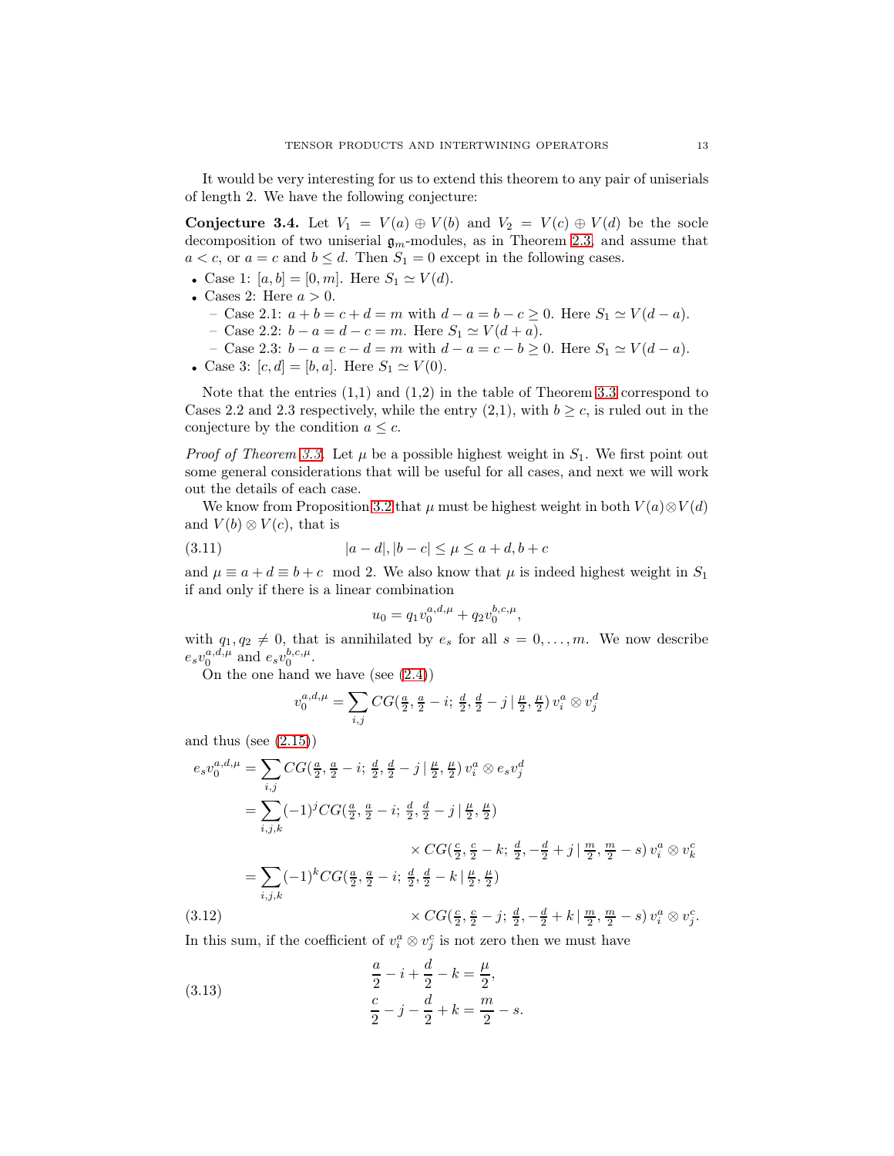It would be very interesting for us to extend this theorem to any pair of uniserials of length 2. We have the following conjecture:

<span id="page-12-0"></span>**Conjecture 3.4.** Let  $V_1 = V(a) \oplus V(b)$  and  $V_2 = V(c) \oplus V(d)$  be the socle decomposition of two uniserial  $\mathfrak{g}_m$ -modules, as in Theorem [2.3,](#page-8-0) and assume that  $a < c$ , or  $a = c$  and  $b \leq d$ . Then  $S_1 = 0$  except in the following cases.

- Case 1:  $[a, b] = [0, m]$ . Here  $S_1 \simeq V(d)$ .
- Cases 2: Here  $a > 0$ .
	- Case 2.1:  $a + b = c + d = m$  with  $d a = b c \ge 0$ . Here  $S_1 \simeq V(d a)$ .
	- Case 2.2:  $b a = d c = m$ . Here  $S_1 \simeq V(d + a)$ .
	- Case 2.3:  $b a = c d = m$  with  $d a = c b \ge 0$ . Here  $S_1 \simeq V(d a)$ .
- Case 3:  $[c, d] = [b, a]$ . Here  $S_1 \simeq V(0)$ .

Note that the entries  $(1,1)$  and  $(1,2)$  in the table of Theorem [3.3](#page-11-0) correspond to Cases 2.2 and 2.3 respectively, while the entry  $(2,1)$ , with  $b \geq c$ , is ruled out in the conjecture by the condition  $a \leq c$ .

*Proof of Theorem [3.3.](#page-11-0)* Let  $\mu$  be a possible highest weight in  $S_1$ . We first point out some general considerations that will be useful for all cases, and next we will work out the details of each case.

We know from Proposition [3.2](#page-10-2) that  $\mu$  must be highest weight in both  $V(a) \otimes V(d)$ and  $V(b) \otimes V(c)$ , that is

(3.11) 
$$
|a-d|, |b-c| \le \mu \le a+d, b+c
$$

and  $\mu \equiv a + d \equiv b + c \mod 2$ . We also know that  $\mu$  is indeed highest weight in  $S_1$ if and only if there is a linear combination

<span id="page-12-2"></span>
$$
u_0 = q_1 v_0^{a,d,\mu} + q_2 v_0^{b,c,\mu},
$$

with  $q_1, q_2 \neq 0$ , that is annihilated by  $e_s$  for all  $s = 0, \ldots, m$ . We now describe  $e_s v_0^{a,d,\mu}$  and  $e_s v_0^{b,c,\mu}$ .

On the one hand we have (see [\(2.4\)](#page-3-2))

$$
v_0^{a,d,\mu} = \sum_{i,j} CG(\tfrac{a}{2}, \tfrac{a}{2} - i ; \, \tfrac{d}{2}, \tfrac{d}{2} - j \, | \, \tfrac{\mu}{2}, \tfrac{\mu}{2}) \, v_i^a \otimes v_j^d
$$

and thus (see  $(2.15)$ )

$$
e_s v_0^{a,d,\mu} = \sum_{i,j} CG(\frac{a}{2}, \frac{a}{2} - i; \frac{d}{2}, \frac{d}{2} - j | \frac{\mu}{2}, \frac{\mu}{2}) v_i^a \otimes e_s v_j^d
$$
  
\n
$$
= \sum_{i,j,k} (-1)^j CG(\frac{a}{2}, \frac{a}{2} - i; \frac{d}{2}, \frac{d}{2} - j | \frac{\mu}{2}, \frac{\mu}{2})
$$
  
\n
$$
\times CG(\frac{c}{2}, \frac{c}{2} - k; \frac{d}{2}, -\frac{d}{2} + j | \frac{m}{2}, \frac{m}{2} - s) v_i^a \otimes v_k^c
$$
  
\n
$$
= \sum_{i,j,k} (-1)^k CG(\frac{a}{2}, \frac{a}{2} - i; \frac{d}{2}, \frac{d}{2} - k | \frac{\mu}{2}, \frac{\mu}{2})
$$
  
\n
$$
\times CG(\frac{c}{2}, \frac{c}{2} - j; \frac{d}{2}, -\frac{d}{2} + k | \frac{m}{2}, \frac{m}{2} - s) v_i^a \otimes v_j^c.
$$
  
\n(3.12)

<span id="page-12-3"></span>In this sum, if the coefficient of  $v_i^a \otimes v_j^c$  is not zero then we must have

<span id="page-12-1"></span>(3.13) 
$$
\frac{a}{2} - i + \frac{d}{2} - k = \frac{\mu}{2},
$$

$$
\frac{c}{2} - j - \frac{d}{2} + k = \frac{m}{2} - s.
$$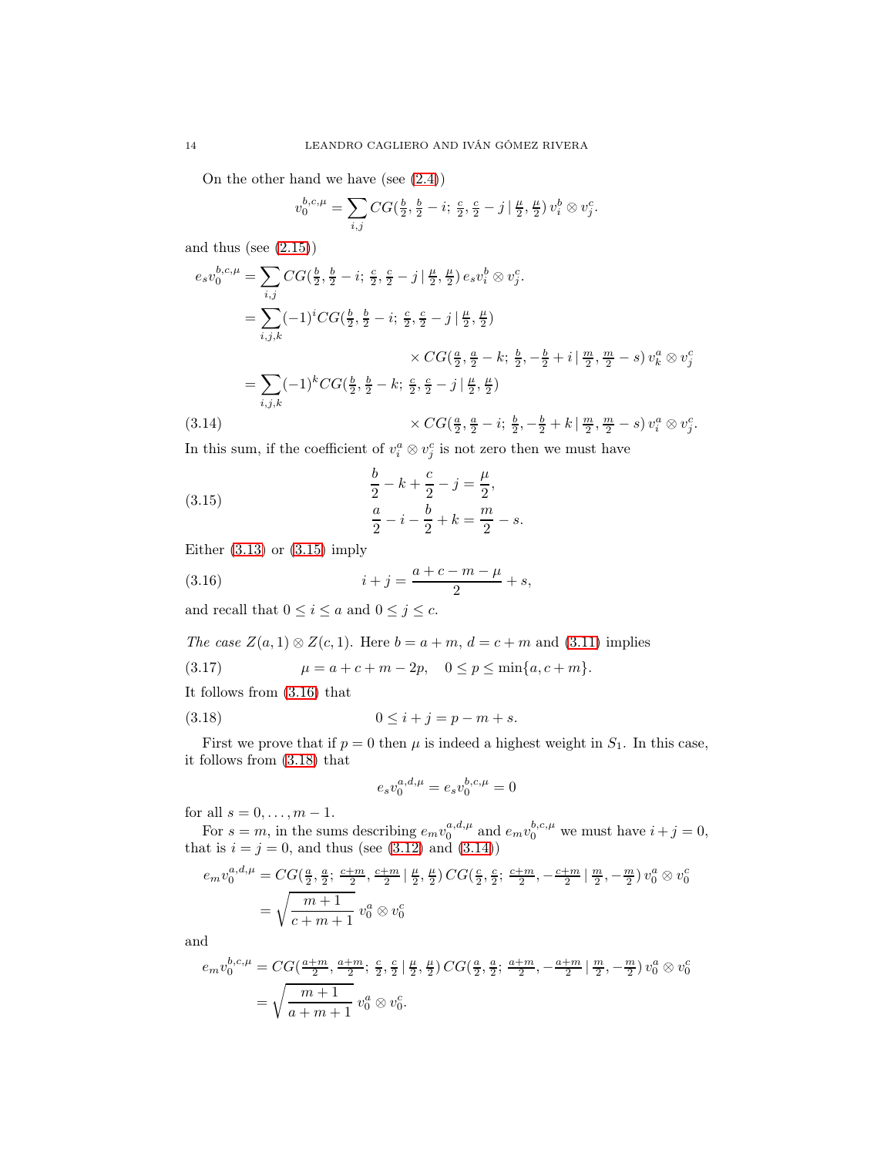On the other hand we have (see [\(2.4\)](#page-3-2))

$$
v_0^{b,c,\mu} = \sum_{i,j} CG(\frac{b}{2}, \frac{b}{2} - i; \frac{c}{2}, \frac{c}{2} - j | \frac{\mu}{2}, \frac{\mu}{2}) v_i^b \otimes v_j^c.
$$

and thus (see [\(2.15\)](#page-7-0))

$$
e_s v_0^{b,c,\mu} = \sum_{i,j} CG(\frac{b}{2}, \frac{b}{2} - i; \frac{c}{2}, \frac{c}{2} - j | \frac{\mu}{2}, \frac{\mu}{2}) e_s v_i^b \otimes v_j^c.
$$
  
\n
$$
= \sum_{i,j,k} (-1)^i CG(\frac{b}{2}, \frac{b}{2} - i; \frac{c}{2}, \frac{c}{2} - j | \frac{\mu}{2}, \frac{\mu}{2})
$$
  
\n
$$
\times CG(\frac{a}{2}, \frac{a}{2} - k; \frac{b}{2}, -\frac{b}{2} + i | \frac{m}{2}, \frac{m}{2} - s) v_k^a \otimes v_j^c
$$
  
\n
$$
= \sum_{i,j,k} (-1)^k CG(\frac{b}{2}, \frac{b}{2} - k; \frac{c}{2}, \frac{c}{2} - j | \frac{\mu}{2}, \frac{\mu}{2})
$$
  
\n
$$
\times CG(\frac{a}{2}, \frac{a}{2} - i; \frac{b}{2}, -\frac{b}{2} + k | \frac{m}{2}, \frac{m}{2} - s) v_i^a \otimes v_j^c.
$$
  
\n(3.14)

<span id="page-13-3"></span>In this sum, if the coefficient of  $v_i^a \otimes v_j^c$  is not zero then we must have

<span id="page-13-0"></span>(3.15) 
$$
\frac{b}{2} - k + \frac{c}{2} - j = \frac{\mu}{2},
$$

$$
\frac{a}{2} - i - \frac{b}{2} + k = \frac{m}{2} - s.
$$

Either  $(3.13)$  or  $(3.15)$  imply

<span id="page-13-1"></span>(3.16) 
$$
i + j = \frac{a + c - m - \mu}{2} + s,
$$

and recall that  $0 \leq i \leq a$  and  $0 \leq j \leq c$ .

The case 
$$
Z(a, 1) \otimes Z(c, 1)
$$
. Here  $b = a + m$ ,  $d = c + m$  and (3.11) implies

<span id="page-13-4"></span>(3.17) 
$$
\mu = a + c + m - 2p, \quad 0 \le p \le \min\{a, c + m\}.
$$

 $\epsilon$ 

It follows from [\(3.16\)](#page-13-1) that

(3.18) 
$$
0 \le i + j = p - m + s.
$$

First we prove that if  $p = 0$  then  $\mu$  is indeed a highest weight in  $S_1$ . In this case, it follows from [\(3.18\)](#page-13-2) that

<span id="page-13-2"></span>
$$
e_s v_0^{a,d,\mu} = e_s v_0^{b,c,\mu} = 0
$$

for all  $s = 0, \ldots, m - 1$ .

For  $s = m$ , in the sums describing  $e_m v_0^{a,d,\mu}$  and  $e_m v_0^{b,c,\mu}$  we must have  $i + j = 0$ , that is  $i = j = 0$ , and thus (see  $(3.12)$  and  $(3.14)$ )

$$
e_m v_0^{a,d,\mu} = CG(\frac{a}{2}, \frac{a}{2}; \frac{c+m}{2}, \frac{c+m}{2} | \frac{\mu}{2}, \frac{\mu}{2}) CG(\frac{c}{2}, \frac{c}{2}; \frac{c+m}{2}, -\frac{c+m}{2} | \frac{m}{2}, -\frac{m}{2}) v_0^a \otimes v_0^c
$$
  
=  $\sqrt{\frac{m+1}{c+m+1}} v_0^a \otimes v_0^c$ 

and

$$
e_m v_0^{b,c,\mu} = CG(\frac{a+m}{2}, \frac{a+m}{2}; \frac{c}{2}, \frac{c}{2} | \frac{\mu}{2}, \frac{\mu}{2}) CG(\frac{a}{2}, \frac{a}{2}; \frac{a+m}{2}, -\frac{a+m}{2} | \frac{m}{2}, -\frac{m}{2}) v_0^a \otimes v_0^c
$$
  
=  $\sqrt{\frac{m+1}{a+m+1}} v_0^a \otimes v_0^c$ .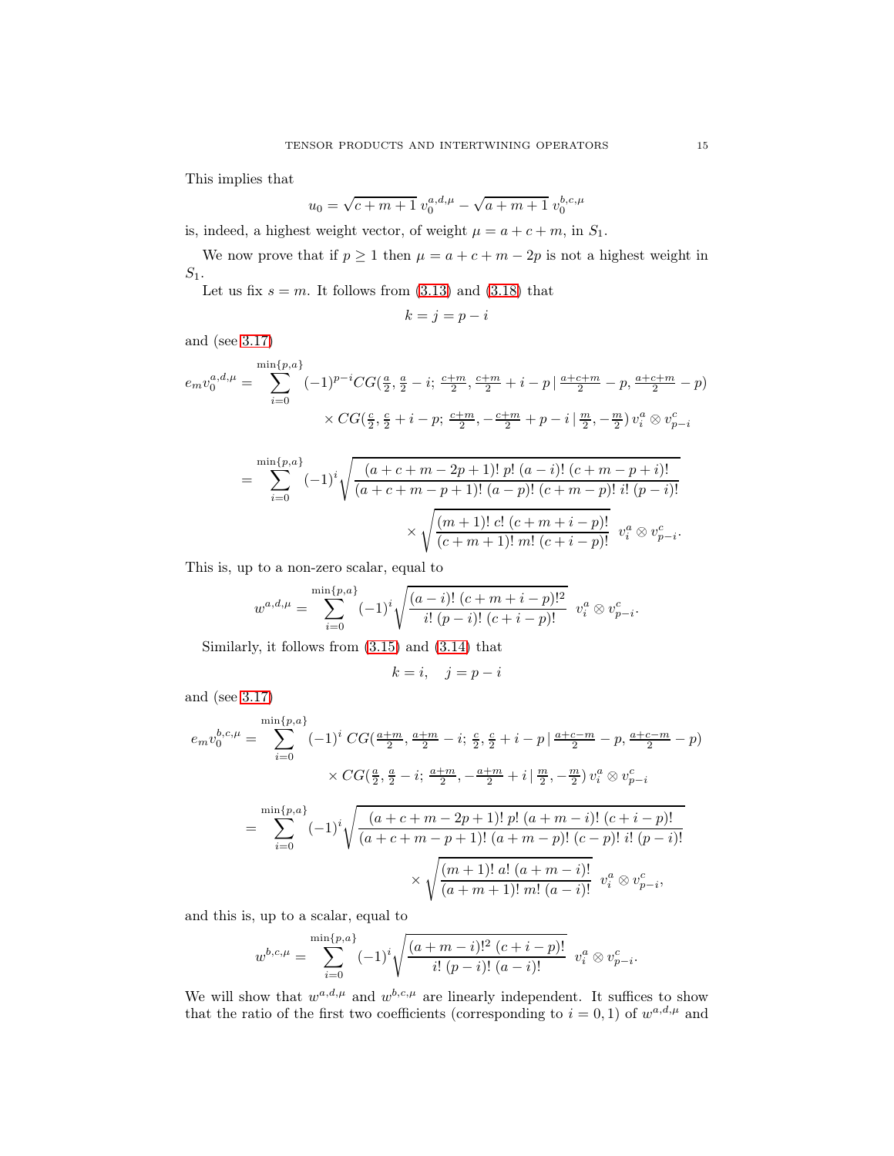This implies that

$$
u_0 = \sqrt{c+m+1} \ v_0^{a,d,\mu} - \sqrt{a+m+1} \ v_0^{b,c,\mu}
$$

is, indeed, a highest weight vector, of weight  $\mu = a + c + m$ , in  $S_1$ .

We now prove that if  $p \ge 1$  then  $\mu = a + c + m - 2p$  is not a highest weight in  $S_1$ .

Let us fix  $s = m$ . It follows from [\(3.13\)](#page-12-1) and [\(3.18\)](#page-13-2) that

$$
k=j=p-i
$$

and (see [3.17\)](#page-13-4)

$$
e_m v_0^{a,d,\mu} = \sum_{i=0}^{\min\{p,a\}} (-1)^{p-i} CG(\frac{a}{2}, \frac{a}{2} - i; \frac{c+m}{2}, \frac{c+m}{2} + i - p \mid \frac{a+c+m}{2} - p, \frac{a+c+m}{2} - p)
$$

$$
\times CG(\frac{c}{2}, \frac{c}{2} + i - p; \frac{c+m}{2}, -\frac{c+m}{2} + p - i \mid \frac{m}{2}, -\frac{m}{2}) v_i^a \otimes v_{p-i}^c
$$

$$
= \sum_{i=0}^{\min\{p,a\}} (-1)^i \sqrt{\frac{(a+c+m-2p+1)! \ p! \ (a-i)! \ (c+m-p+i)!}{(a+c+m-p+1)! \ (a-p)! \ (c+m-p)! \ i! \ (p-i)!}} \times \sqrt{\frac{(m+1)! \ c! \ (c+m+i-p)!}{(c+m+1)! \ m! \ (c+i-p)!}} \ v_i^a \otimes v_{p-i}^c.
$$

This is, up to a non-zero scalar, equal to

$$
w^{a,d,\mu} = \sum_{i=0}^{\min\{p,a\}} (-1)^i \sqrt{\frac{(a-i)! (c+m+i-p)!^2}{i! (p-i)! (c+i-p)!}} v_i^a \otimes v_{p-i}^c.
$$

Similarly, it follows from [\(3.15\)](#page-13-0) and [\(3.14\)](#page-13-3) that

$$
k = i, \quad j = p - i
$$

and (see [3.17\)](#page-13-4)

$$
e_m v_0^{b,c,\mu} = \sum_{i=0}^{\min\{p,a\}} (-1)^i \, CG(\frac{a+m}{2}, \frac{a+m}{2} - i; \frac{c}{2}, \frac{c}{2} + i - p \mid \frac{a+c-m}{2} - p, \frac{a+c-m}{2} - p)
$$

$$
\times \, CG(\frac{a}{2}, \frac{a}{2} - i; \frac{a+m}{2}, -\frac{a+m}{2} + i \mid \frac{m}{2}, -\frac{m}{2}) \, v_i^a \otimes v_{p-i}^c
$$

$$
= \sum_{i=0}^{\min\{p,a\}} (-1)^i \sqrt{\frac{(a+c+m-2p+1)! \, p! \, (a+m-i)! \, (c+i-p)!}{(a+c+m-p+1)! \, (a+m-p)! \, (c-p)! \, i! \, (p-i)!}}
$$

$$
\times \sqrt{\frac{(m+1)! \, a! \, (a+m-i)!}{(a+m+1)! \, m! \, (a-i)!}} \, v_i^a \otimes v_{p-i}^c,
$$

and this is, up to a scalar, equal to

$$
w^{b,c,\mu} = \sum_{i=0}^{\min\{p,a\}} (-1)^i \sqrt{\frac{(a+m-i)!^2 (c+i-p)!}{i! (p-i)! (a-i)!}} v_i^a \otimes v_{p-i}^c.
$$

We will show that  $w^{a,d,\mu}$  and  $w^{b,c,\mu}$  are linearly independent. It suffices to show that the ratio of the first two coefficients (corresponding to  $i = 0, 1$ ) of  $w^{a,d,\mu}$  and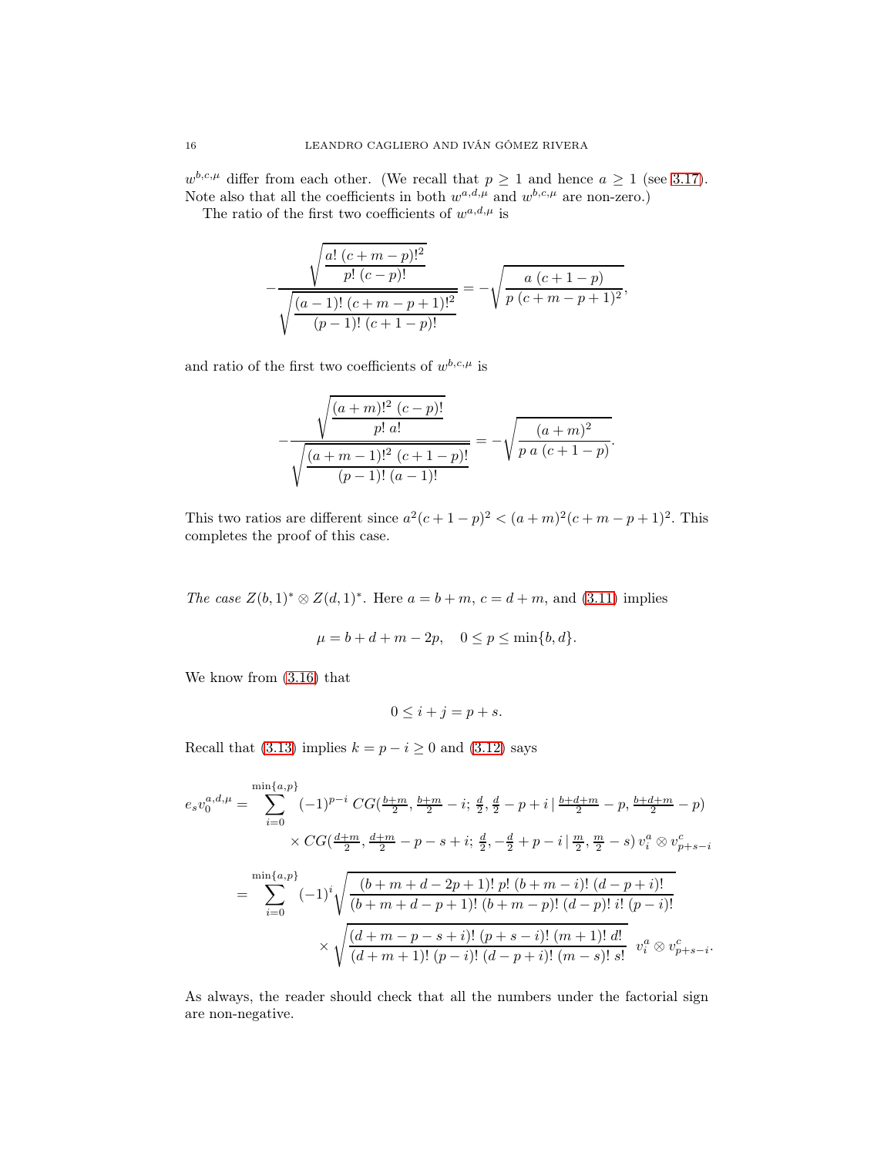$w^{b,c,\mu}$  differ from each other. (We recall that  $p \ge 1$  and hence  $a \ge 1$  (see [3.17\)](#page-13-4). Note also that all the coefficients in both  $w^{a,d,\mu}$  and  $w^{b,c,\mu}$  are non-zero.)

The ratio of the first two coefficients of  $w^{a,d,\mu}$  is

$$
-\frac{\sqrt{\frac{a! (c+m-p)!^2}{p! (c-p)!}}}{\sqrt{\frac{(a-1)! (c+m-p+1)!^2}{(p-1)! (c+1-p)!}}} = -\sqrt{\frac{a (c+1-p)}{p (c+m-p+1)^2}},
$$

and ratio of the first two coefficients of  $w^{b,c,\mu}$  is

$$
-\frac{\sqrt{\frac{(a+m)!^2 (c-p)!}{p! a!}}}{\sqrt{\frac{(a+m-1)!^2 (c+1-p)!}{(p-1)! (a-1)!}}} = -\sqrt{\frac{(a+m)^2}{p a (c+1-p)}}.
$$

This two ratios are different since  $a^2(c+1-p)^2 < (a+m)^2(c+m-p+1)^2$ . This completes the proof of this case.

*The case*  $Z(b, 1)$ <sup>\*</sup> ⊗  $Z(d, 1)$ <sup>\*</sup>. Here  $a = b + m$ ,  $c = d + m$ , and [\(3.11\)](#page-12-2) implies

$$
\mu = b + d + m - 2p
$$
,  $0 \le p \le \min\{b, d\}$ .

We know from [\(3.16\)](#page-13-1) that

$$
0 \le i + j = p + s.
$$

Recall that [\(3.13\)](#page-12-1) implies  $k = p - i \geq 0$  and [\(3.12\)](#page-12-3) says

$$
e_s v_0^{a,d,\mu} = \sum_{i=0}^{\min\{a,p\}} (-1)^{p-i} CG(\frac{b+m}{2}, \frac{b+m}{2} - i; \frac{d}{2}, \frac{d}{2} - p + i | \frac{b+d+m}{2} - p, \frac{b+d+m}{2} - p)
$$
  

$$
\times CG(\frac{d+m}{2}, \frac{d+m}{2} - p - s + i; \frac{d}{2}, -\frac{d}{2} + p - i | \frac{m}{2}, \frac{m}{2} - s) v_i^a \otimes v_{p+s-i}^c
$$
  

$$
= \sum_{i=0}^{\min\{a,p\}} (-1)^i \sqrt{\frac{(b+m+d-2p+1)! \ p! \ (b+m-i)! \ (d-p+i)!}{(b+m+d-p+1)! \ (b+m-p)! \ (d-p)! \ i! \ (p-i)!}
$$
  

$$
\times \sqrt{\frac{(d+m-p-s+i)! \ (p+s-i)! \ (m+1)! \ d!}{(d+m+1)! \ (p-i)! \ (d-p+i)! \ (m-s)! \ s!}} v_i^a \otimes v_{p+s-i}^c.
$$

As always, the reader should check that all the numbers under the factorial sign are non-negative.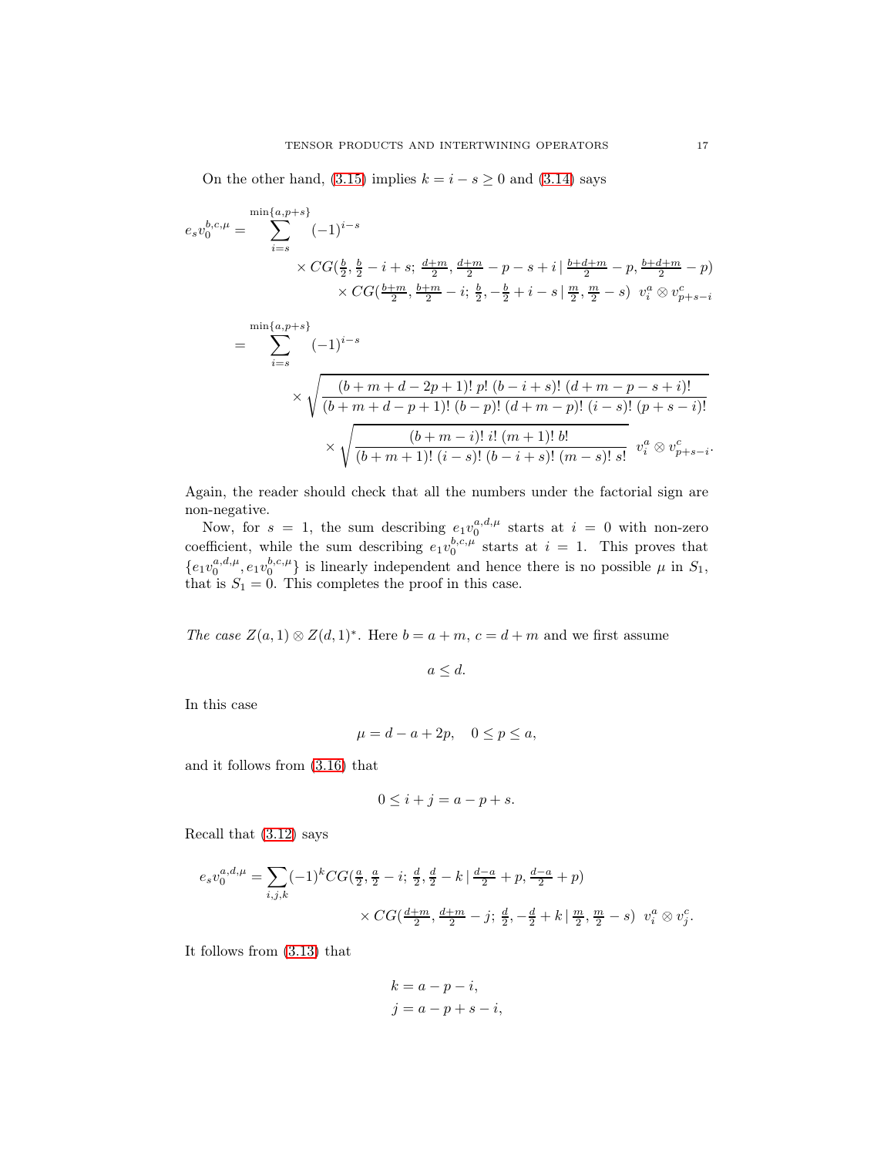On the other hand, [\(3.15\)](#page-13-0) implies  $k = i - s \geq 0$  and [\(3.14\)](#page-13-3) says

$$
e_s v_0^{b,c,\mu} = \sum_{i=s}^{\min\{a,p+s\}} (-1)^{i-s}
$$
  
 
$$
\times CG(\frac{b}{2}, \frac{b}{2} - i + s; \frac{d+m}{2}, \frac{d+m}{2} - p - s + i | \frac{b+d+m}{2} - p, \frac{b+d+m}{2} - p) \times CG(\frac{b+m}{2}, \frac{b+m}{2} - i; \frac{b}{2}, -\frac{b}{2} + i - s | \frac{m}{2}, \frac{m}{2} - s) v_i^a \otimes v_{p+s-i}^c
$$

$$
= \sum_{i=s}^{\min\{a,p+s\}} (-1)^{i-s}
$$
  
\$\times \sqrt{\frac{(b+m+d-2p+1)! \ p! \ (b-i+s)! \ (d+m-p-s+i)!}{(b+m+d-p+1)! \ (b-p)! \ (d+m-p)! \ (i-s)! \ (p+s-i)!}}\$  
\$\times \sqrt{\frac{(b+m-i)! \ i! \ (m+1)! \ b!}{(b+m+1)! \ (i-s)! \ (b-i+s)! \ (m-s)! \ s!}}\$v\_i^a \otimes v\_{p+s-i}^c\$.

Again, the reader should check that all the numbers under the factorial sign are non-negative.

Now, for  $s = 1$ , the sum describing  $e_1v_0^{a,d,\mu}$  starts at  $i = 0$  with non-zero coefficient, while the sum describing  $e_1v_0^{b,c,\mu}$  starts at  $i = 1$ . This proves that  $\{e_1v_0^{a,d,\mu},e_1v_0^{b,c,\mu}\}\$  is linearly independent and hence there is no possible  $\mu$  in  $S_1$ , that is  $S_1 = 0$ . This completes the proof in this case.

The case  $Z(a, 1) \otimes Z(d, 1)^*$ . Here  $b = a + m$ ,  $c = d + m$  and we first assume

 $a \leq d$ .

In this case

$$
\mu = d - a + 2p, \quad 0 \le p \le a,
$$

and it follows from [\(3.16\)](#page-13-1) that

$$
0 \le i + j = a - p + s.
$$

Recall that [\(3.12\)](#page-12-3) says

$$
e_s v_0^{a,d,\mu} = \sum_{i,j,k} (-1)^k CG(\frac{a}{2}, \frac{a}{2} - i; \frac{d}{2}, \frac{d}{2} - k | \frac{d-a}{2} + p, \frac{d-a}{2} + p)
$$
  
 
$$
\times CG(\frac{d+m}{2}, \frac{d+m}{2} - j; \frac{d}{2}, -\frac{d}{2} + k | \frac{m}{2}, \frac{m}{2} - s) v_i^a \otimes v_j^c.
$$

It follows from [\(3.13\)](#page-12-1) that

$$
k = a - p - i,
$$
  

$$
j = a - p + s - i,
$$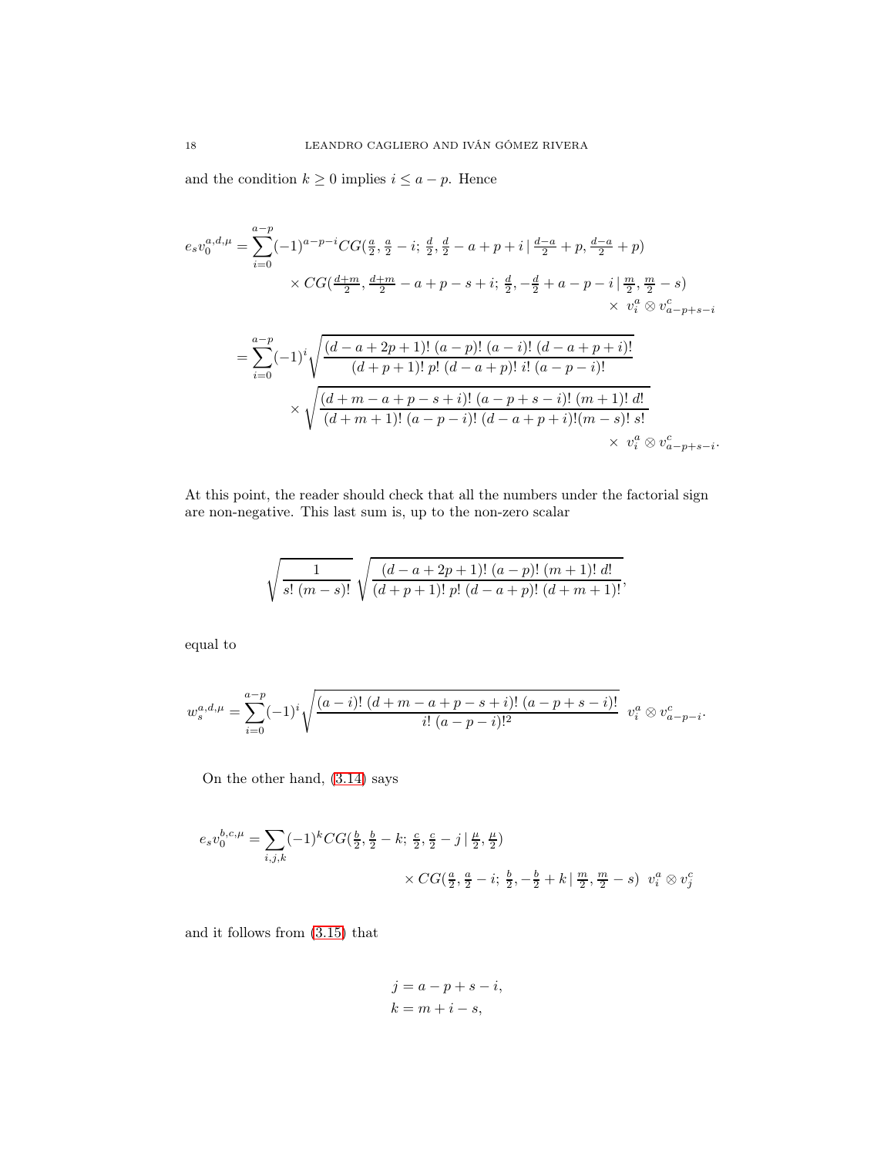and the condition  $k \geq 0$  implies  $i \leq a - p$ . Hence

$$
e_s v_0^{a,d,\mu} = \sum_{i=0}^{a-p} (-1)^{a-p-i} CG(\frac{a}{2}, \frac{a}{2} - i; \frac{d}{2}, \frac{d}{2} - a + p + i | \frac{d-a}{2} + p, \frac{d-a}{2} + p)
$$
  

$$
\times CG(\frac{d+m}{2}, \frac{d+m}{2} - a + p - s + i; \frac{d}{2}, -\frac{d}{2} + a - p - i | \frac{m}{2}, \frac{m}{2} - s)
$$
  

$$
\times v_i^a \otimes v_{a-p+s-i}^c
$$
  

$$
= \sum_{i=0}^{a-p} (-1)^i \sqrt{\frac{(d-a+2p+1)!(a-p)!(a-i)!(d-a+p+i)!}{(d+p+1)!p!(d-a+p)!i!(a-p-i)!}}
$$
  

$$
\times \sqrt{\frac{(d+m-a+p-s+i)!(a-p+s-i)!(m+1)!d!}{(d+m+1)!(a-p-i)!(d-a+p+i)!(m-s)!s!}}
$$
  

$$
\times v_i^a \otimes v_{a-p+s-i}^c.
$$

At this point, the reader should check that all the numbers under the factorial sign are non-negative. This last sum is, up to the non-zero scalar

$$
\sqrt{\frac{1}{s!\ (m-s)!}}\sqrt{\frac{(d-a+2p+1)!\ (a-p)!\ (m+1)!\ d!}{(d+p+1)! \ p! \ (d-a+p)!\ (d+m+1)!}},
$$

equal to

$$
w_s^{a,d,\mu} = \sum_{i=0}^{a-p} (-1)^i \sqrt{\frac{(a-i)! (d+m-a+p-s+i)! (a-p+s-i)!}{i! (a-p-i)!^2}} v_i^a \otimes v_{a-p-i}^c.
$$

On the other hand, [\(3.14\)](#page-13-3) says

$$
e_s v_0^{b,c,\mu} = \sum_{i,j,k} (-1)^k CG(\frac{b}{2}, \frac{b}{2} - k; \frac{c}{2}, \frac{c}{2} - j | \frac{\mu}{2}, \frac{\mu}{2})
$$
  
 
$$
\times CG(\frac{a}{2}, \frac{a}{2} - i; \frac{b}{2}, -\frac{b}{2} + k | \frac{m}{2}, \frac{m}{2} - s) v_i^a \otimes v_j^c
$$

and it follows from [\(3.15\)](#page-13-0) that

$$
j = a - p + s - i,
$$
  
\n
$$
k = m + i - s,
$$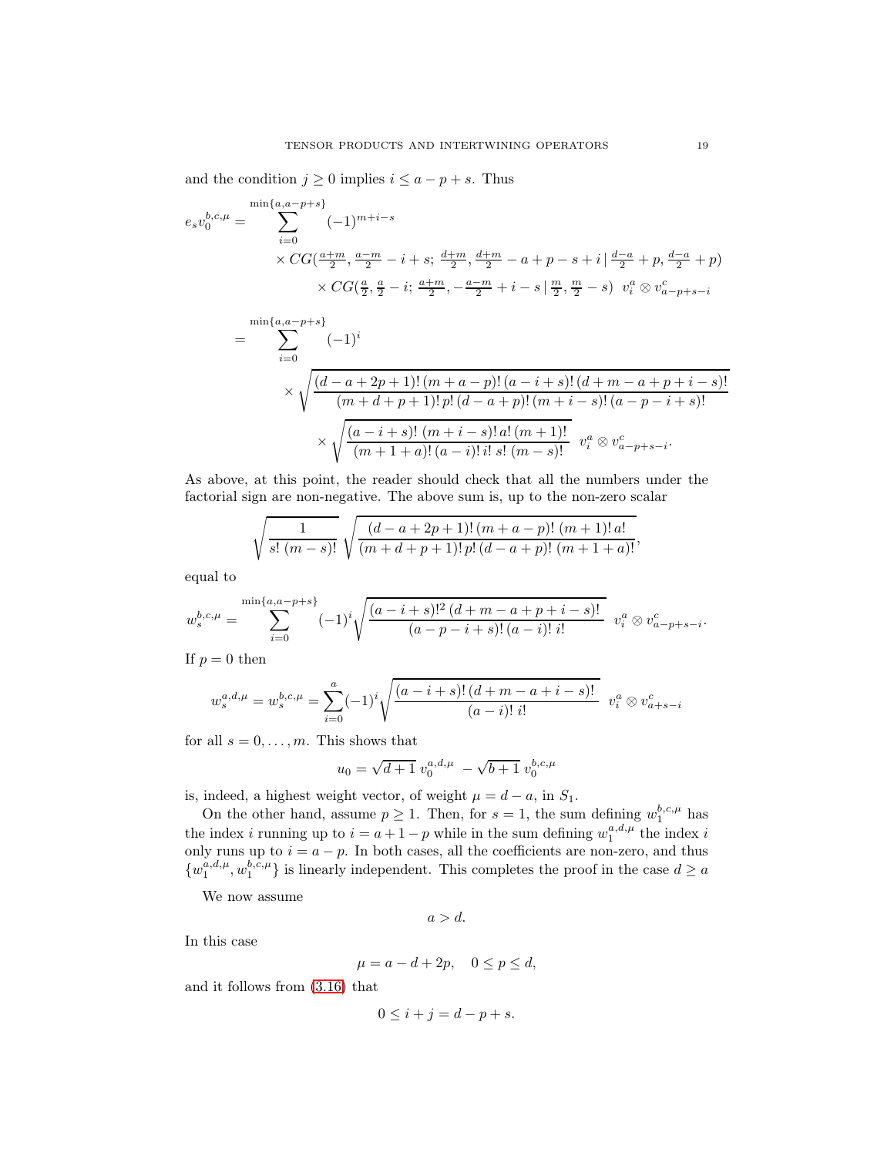and the condition  $j \geq 0$  implies  $i \leq a - p + s$ . Thus

$$
e_s v_0^{b,c,\mu} = \sum_{i=0}^{\min\{a,a-p+s\}} (-1)^{m+i-s}
$$
  
×  $CG(\frac{a+m}{2}, \frac{a-m}{2} - i + s; \frac{d+m}{2}, \frac{d+m}{2} - a + p - s + i | \frac{d-a}{2} + p, \frac{d-a}{2} + p)$   
×  $CG(\frac{a}{2}, \frac{a}{2} - i; \frac{a+m}{2}, -\frac{a-m}{2} + i - s | \frac{m}{2}, \frac{m}{2} - s) v_i^a \otimes v_{a-p+s-i}^c$ 

$$
= \sum_{i=0}^{\min\{a,a-p+s\}} (-1)^i
$$
  
\$\times \sqrt{\frac{(d-a+2p+1)!(m+a-p)!(a-i+s)!(d+m-a+p+i-s)!}{(m+d+p+1)!p!(d-a+p)!(m+i-s)!(a-p-i+s)!}}\$  
\$\times \sqrt{\frac{(a-i+s)!(m+i-s)!a!(m+1)!}{(m+1+a)!(a-i)!i!s!(m-s)!}} \$v\_i^a \otimes v\_{a-p+s-i}^c.\$

As above, at this point, the reader should check that all the numbers under the factorial sign are non-negative. The above sum is, up to the non-zero scalar

$$
\sqrt{\frac{1}{s!\ (m-s)!}}\sqrt{\frac{(d-a+2p+1)!\ (m+a-p)!\ (m+1)!\,a!}{(m+d+p+1)!\,p!\,(d-a+p)!\ (m+1+a)!}},
$$

equal to

$$
w_s^{b,c,\mu} = \sum_{i=0}^{\min\{a,a-p+s\}} (-1)^i \sqrt{\frac{(a-i+s)!^2 (d+m-a+p+i-s)!}{(a-p-i+s)!(a-i)! i!}} v_i^a \otimes v_{a-p+s-i}^c.
$$

If  $p = 0$  then

$$
w_s^{a,d,\mu} = w_s^{b,c,\mu} = \sum_{i=0}^a (-1)^i \sqrt{\frac{(a-i+s)!(d+m-a+i-s)!}{(a-i)! i!}} v_i^a \otimes v_{a+s-i}^c
$$

for all  $s = 0, \ldots, m$ . This shows that

$$
u_0 = \sqrt{d+1} \ v_0^{a,d,\mu} \ -\sqrt{b+1} \ v_0^{b,c,\mu}
$$

is, indeed, a highest weight vector, of weight  $\mu = d - a$ , in  $S_1$ .

On the other hand, assume  $p \geq 1$ . Then, for  $s = 1$ , the sum defining  $w_1^{b,c,\mu}$  has the index *i* running up to  $i = a + 1 - p$  while in the sum defining  $w_1^{a,d,\mu}$  the index *i* only runs up to  $i = a - p$ . In both cases, all the coefficients are non-zero, and thus  $\{w_1^{a,d,\mu}, w_1^{b,c,\mu}\}\$ is linearly independent. This completes the proof in the case  $d\geq a$ 

We now assume

$$
a > d.
$$

In this case

$$
\mu = a - d + 2p, \quad 0 \le p \le d,
$$

and it follows from [\(3.16\)](#page-13-1) that

$$
0 \le i+j = d-p+s.
$$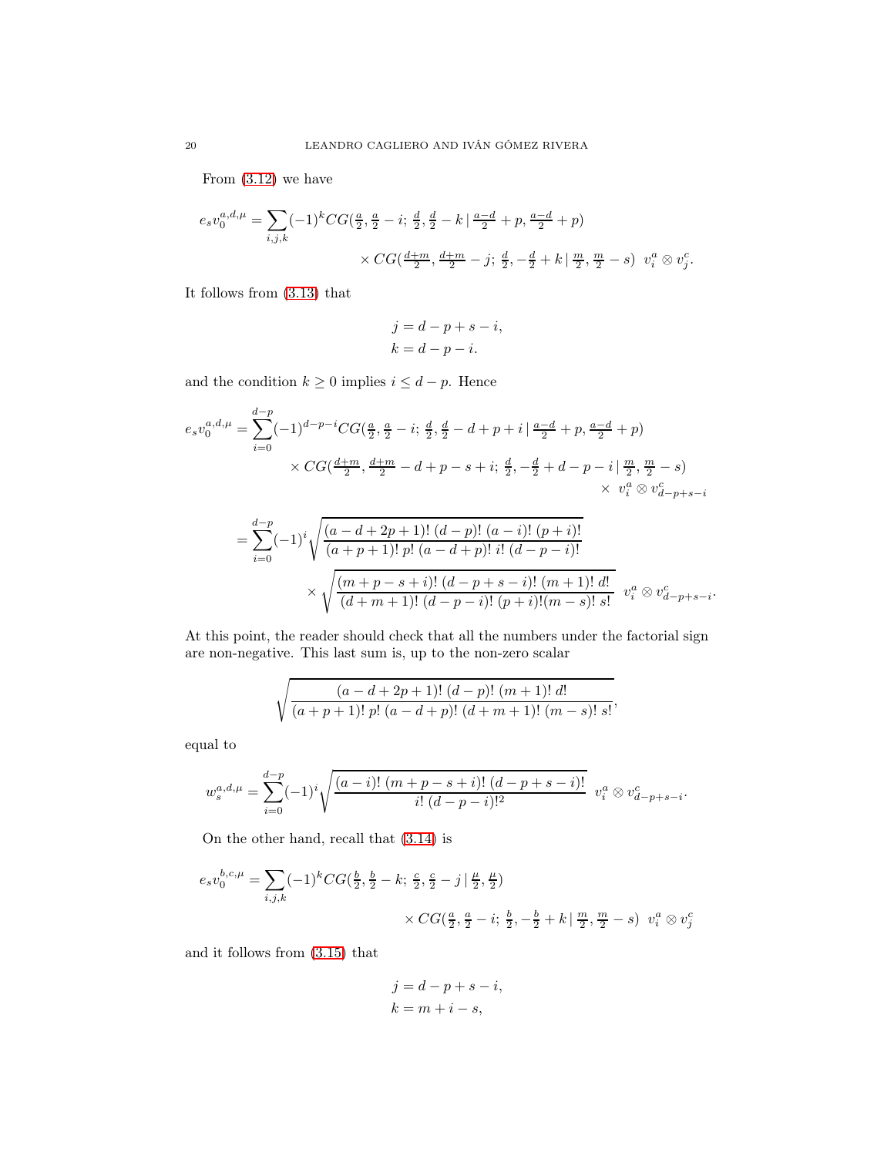From [\(3.12\)](#page-12-3) we have

$$
e_s v_0^{a,d,\mu} = \sum_{i,j,k} (-1)^k CG(\frac{a}{2}, \frac{a}{2} - i; \frac{d}{2}, \frac{d}{2} - k | \frac{a-d}{2} + p, \frac{a-d}{2} + p)
$$
  
 
$$
\times CG(\frac{d+m}{2}, \frac{d+m}{2} - j; \frac{d}{2}, -\frac{d}{2} + k | \frac{m}{2}, \frac{m}{2} - s) v_i^a \otimes v_j^c.
$$

It follows from [\(3.13\)](#page-12-1) that

$$
j = d - p + s - i,
$$
  
\n
$$
k = d - p - i.
$$

and the condition  $k \geq 0$  implies  $i \leq d - p$ . Hence

$$
e_s v_0^{a,d,\mu} = \sum_{i=0}^{d-p} (-1)^{d-p-i} CG(\frac{a}{2}, \frac{a}{2} - i; \frac{d}{2}, \frac{d}{2} - d + p + i | \frac{a-d}{2} + p, \frac{a-d}{2} + p)
$$
  
×  $CG(\frac{d+m}{2}, \frac{d+m}{2} - d + p - s + i; \frac{d}{2}, -\frac{d}{2} + d - p - i | \frac{m}{2}, \frac{m}{2} - s)$   
×  $v_i^a \otimes v_{d-p+s-i}^c$ 

$$
= \sum_{i=0}^{d-p} (-1)^i \sqrt{\frac{(a-d+2p+1)! (d-p)! (a-i)! (p+i)!}{(a+p+1)! p! (a-d+p)! i! (d-p-i)!}} \times \sqrt{\frac{(m+p-s+i)! (d-p+s-i)! (m+1)! d!}{(d+m+1)! (d-p-i)! (p+i)! (m-s)! s!}} v_i^a \otimes v_{d-p+s-i}^c.
$$

At this point, the reader should check that all the numbers under the factorial sign are non-negative. This last sum is, up to the non-zero scalar

$$
\sqrt{\frac{(a-d+2p+1)! (d-p)! (m+1)! d!}{(a+p+1)! p! (a-d+p)! (d+m+1)! (m-s)! s!}},
$$

equal to

$$
w_s^{a,d,\mu} = \sum_{i=0}^{d-p} (-1)^i \sqrt{\frac{(a-i)! (m+p-s+i)! (d-p+s-i)!}{i! (d-p-i)!^2}} v_i^a \otimes v_{d-p+s-i}^c.
$$

On the other hand, recall that [\(3.14\)](#page-13-3) is

$$
e_s v_0^{b,c,\mu} = \sum_{i,j,k} (-1)^k CG(\frac{b}{2}, \frac{b}{2} - k; \frac{c}{2}, \frac{c}{2} - j | \frac{\mu}{2}, \frac{\mu}{2})
$$
  
 
$$
\times CG(\frac{a}{2}, \frac{a}{2} - i; \frac{b}{2}, -\frac{b}{2} + k | \frac{m}{2}, \frac{m}{2} - s) v_i^a \otimes v_j^c
$$

and it follows from [\(3.15\)](#page-13-0) that

$$
j = d - p + s - i,
$$
  

$$
k = m + i - s,
$$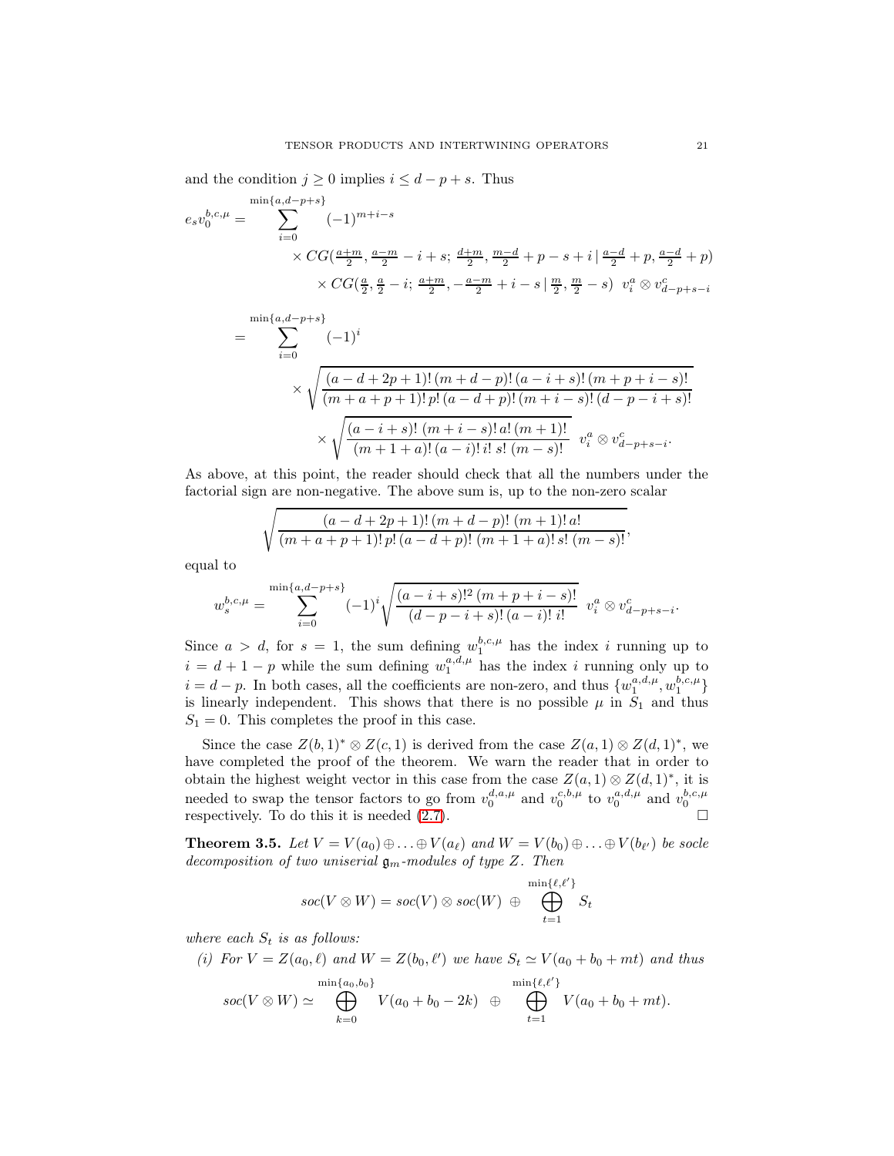and the condition  $j \geq 0$  implies  $i \leq d - p + s$ . Thus

$$
e_s v_0^{b,c,\mu} = \sum_{i=0}^{\min\{a,d-p+s\}} (-1)^{m+i-s}
$$
  
×  $CG(\frac{a+m}{2}, \frac{a-m}{2} - i + s; \frac{d+m}{2}, \frac{m-d}{2} + p - s + i | \frac{a-d}{2} + p, \frac{a-d}{2} + p)$   
×  $CG(\frac{a}{2}, \frac{a}{2} - i; \frac{a+m}{2}, -\frac{a-m}{2} + i - s | \frac{m}{2}, \frac{m}{2} - s) v_i^a \otimes v_{d-p+s-i}^c$ 

$$
= \sum_{i=0}^{\min\{a,d-p+s\}} (-1)^i
$$
  
\$\times \sqrt{\frac{(a-d+2p+1)!(m+d-p)!(a-i+s)!(m+p+i-s)!}{(m+a+p+1)!p!(a-d+p)!(m+i-s)!(d-p-i+s)!}}\$  
\$\times \sqrt{\frac{(a-i+s)!(m+i-s)!a!(m+1)!}{(m+1+a)!(a-i)!i!s!(m-s)!}} \$v\_i^a \otimes v\_{d-p+s-i}^c.\$

As above, at this point, the reader should check that all the numbers under the factorial sign are non-negative. The above sum is, up to the non-zero scalar

$$
\sqrt{\frac{(a-d+2p+1)!(m+d-p)!(m+1)!a!}{(m+a+p+1)!p!(a-d+p)!(m+1+a)!s!(m-s)!}},
$$

equal to

$$
w_s^{b,c,\mu} = \sum_{i=0}^{\min\{a,d-p+s\}} (-1)^i \sqrt{\frac{(a-i+s)!^2 (m+p+i-s)!}{(d-p-i+s)!(a-i)! i!}} v_i^a \otimes v_{d-p+s-i}^c.
$$

Since  $a > d$ , for  $s = 1$ , the sum defining  $w_1^{b,c,\mu}$  has the index i running up to  $i = d + 1 - p$  while the sum defining  $w_1^{a,d,\mu}$  has the index i running only up to  $i = d - p$ . In both cases, all the coefficients are non-zero, and thus  $\{w_1^{a,d,\mu}, w_1^{b,c,\mu}\}$ is linearly independent. This shows that there is no possible  $\mu$  in  $S_1$  and thus  $S_1 = 0$ . This completes the proof in this case.

Since the case  $Z(b, 1)^* \otimes Z(c, 1)$  is derived from the case  $Z(a, 1) \otimes Z(d, 1)^*$ , we have completed the proof of the theorem. We warn the reader that in order to obtain the highest weight vector in this case from the case  $Z(a, 1) \otimes Z(d, 1)^*$ , it is needed to swap the tensor factors to go from  $v_0^{d,a,\mu}$  and  $v_0^{c,b,\mu}$  to  $v_0^{a,d,\mu}$  and  $v_0^{b,c,\mu}$ respectively. To do this it is needed  $(2.7)$ .

<span id="page-20-0"></span>**Theorem 3.5.** Let  $V = V(a_0) \oplus \ldots \oplus V(a_\ell)$  and  $W = V(b_0) \oplus \ldots \oplus V(b_{\ell'})$  be socle decomposition of two uniserial  $\mathfrak{g}_m$ -modules of type Z. Then

$$
\mathit{soc}(V \otimes W) = \mathit{soc}(V) \otimes \mathit{soc}(W) \; \oplus \; \bigoplus_{t=1}^{\min\{\ell,\ell'\}} S_t
$$

where each  $S_t$  is as follows:

(i) For  $V = Z(a_0, \ell)$  and  $W = Z(b_0, \ell')$  we have  $S_t \simeq V(a_0 + b_0 + mt)$  and thus

$$
soc(V \otimes W) \simeq \bigoplus_{k=0}^{\min\{a_0, b_0\}} V(a_0 + b_0 - 2k) \quad \oplus \quad \bigoplus_{t=1}^{\min\{\ell, \ell'\}} V(a_0 + b_0 + mt).
$$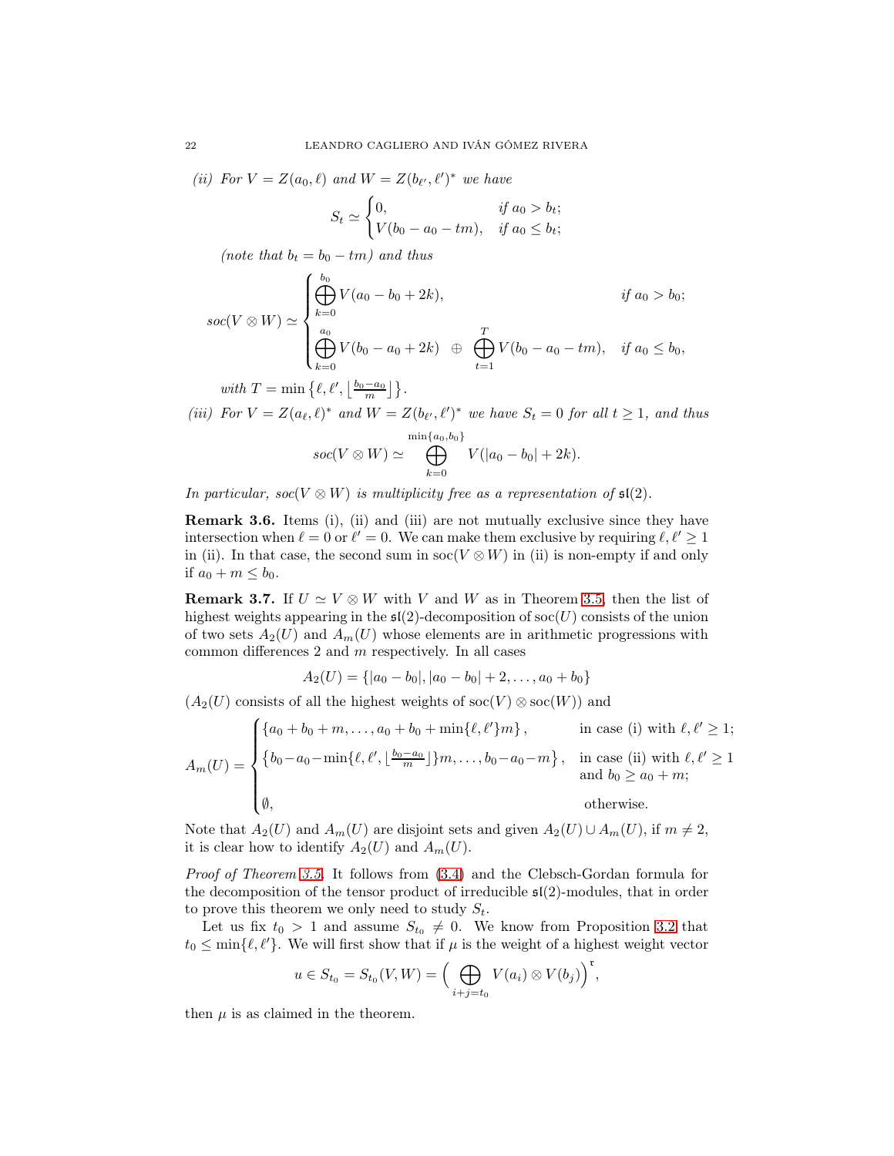(ii) For  $V = Z(a_0, \ell)$  and  $W = Z(b_{\ell'}, \ell')^*$  we have

$$
S_t \simeq \begin{cases} 0, & \text{if } a_0 > b_t; \\ V(b_0 - a_0 - tm), & \text{if } a_0 \le b_t; \end{cases}
$$

(note that  $b_t = b_0 - tm$ ) and thus

$$
soc(V \otimes W) \simeq \begin{cases} \bigoplus_{k=0}^{b_0} V(a_0 - b_0 + 2k), & \text{if } a_0 > b_0; \\ \bigoplus_{k=0}^{a_0} V(b_0 - a_0 + 2k) & \bigoplus_{t=1}^T V(b_0 - a_0 - tm), & \text{if } a_0 \le b_0, \end{cases}
$$

with  $T = \min\left\{\ell, \ell', \left\lfloor\frac{b_0 - a_0}{m}\right\rfloor\right\}.$ 

(iii) For  $V = Z(a_{\ell}, \ell)^*$  and  $W = Z(b_{\ell'}, \ell')^*$  we have  $S_t = 0$  for all  $t \geq 1$ , and thus

$$
soc(V \otimes W) \simeq \bigoplus_{k=0}^{\min\{a_0, b_0\}} V(|a_0 - b_0| + 2k).
$$

In particular, soc $(V \otimes W)$  is multiplicity free as a representation of  $\mathfrak{sl}(2)$ .

Remark 3.6. Items (i), (ii) and (iii) are not mutually exclusive since they have intersection when  $\ell = 0$  or  $\ell' = 0$ . We can make them exclusive by requiring  $\ell, \ell' \geq 1$ in (ii). In that case, the second sum in  $\operatorname{soc}(V \otimes W)$  in (ii) is non-empty if and only if  $a_0 + m \leq b_0$ .

<span id="page-21-0"></span>**Remark 3.7.** If  $U \simeq V \otimes W$  with V and W as in Theorem [3.5,](#page-20-0) then the list of highest weights appearing in the  $\mathfrak{sl}(2)$ -decomposition of soc $(U)$  consists of the union of two sets  $A_2(U)$  and  $A_m(U)$  whose elements are in arithmetic progressions with common differences  $2$  and  $m$  respectively. In all cases

$$
A_2(U) = \{ |a_0 - b_0|, |a_0 - b_0| + 2, \ldots, a_0 + b_0 \}
$$

 $(A_2(U)$  consists of all the highest weights of soc $(V) \otimes$  soc $(W)$ ) and

$$
A_m(U) = \begin{cases} \{a_0 + b_0 + m, \dots, a_0 + b_0 + \min\{\ell, \ell'\}m\}, & \text{in case (i) with } \ell, \ell' \ge 1; \\ \{b_0 - a_0 - \min\{\ell, \ell', \lfloor \frac{b_0 - a_0}{m} \rfloor\}m, \dots, b_0 - a_0 - m\}, & \text{in case (ii) with } \ell, \ell' \ge 1 \\ a_m(b_0 \ge a_0 + m; & \text{otherwise.} \end{cases}
$$

Note that  $A_2(U)$  and  $A_m(U)$  are disjoint sets and given  $A_2(U) \cup A_m(U)$ , if  $m \neq 2$ , it is clear how to identify  $A_2(U)$  and  $A_m(U)$ .

Proof of Theorem [3.5.](#page-20-0) It follows from [\(3.4\)](#page-9-2) and the Clebsch-Gordan formula for the decomposition of the tensor product of irreducible  $\mathfrak{sl}(2)$ -modules, that in order to prove this theorem we only need to study  $S_t$ .

Let us fix  $t_0 > 1$  and assume  $S_{t_0} \neq 0$ . We know from Proposition [3.2](#page-10-2) that  $t_0 \leq \min{\ell, \ell'}$ . We will first show that if  $\mu$  is the weight of a highest weight vector

$$
u \in S_{t_0} = S_{t_0}(V, W) = \Big(\bigoplus_{i+j=t_0} V(a_i) \otimes V(b_j)\Big)^{\mathfrak{r}},
$$

then  $\mu$  is as claimed in the theorem.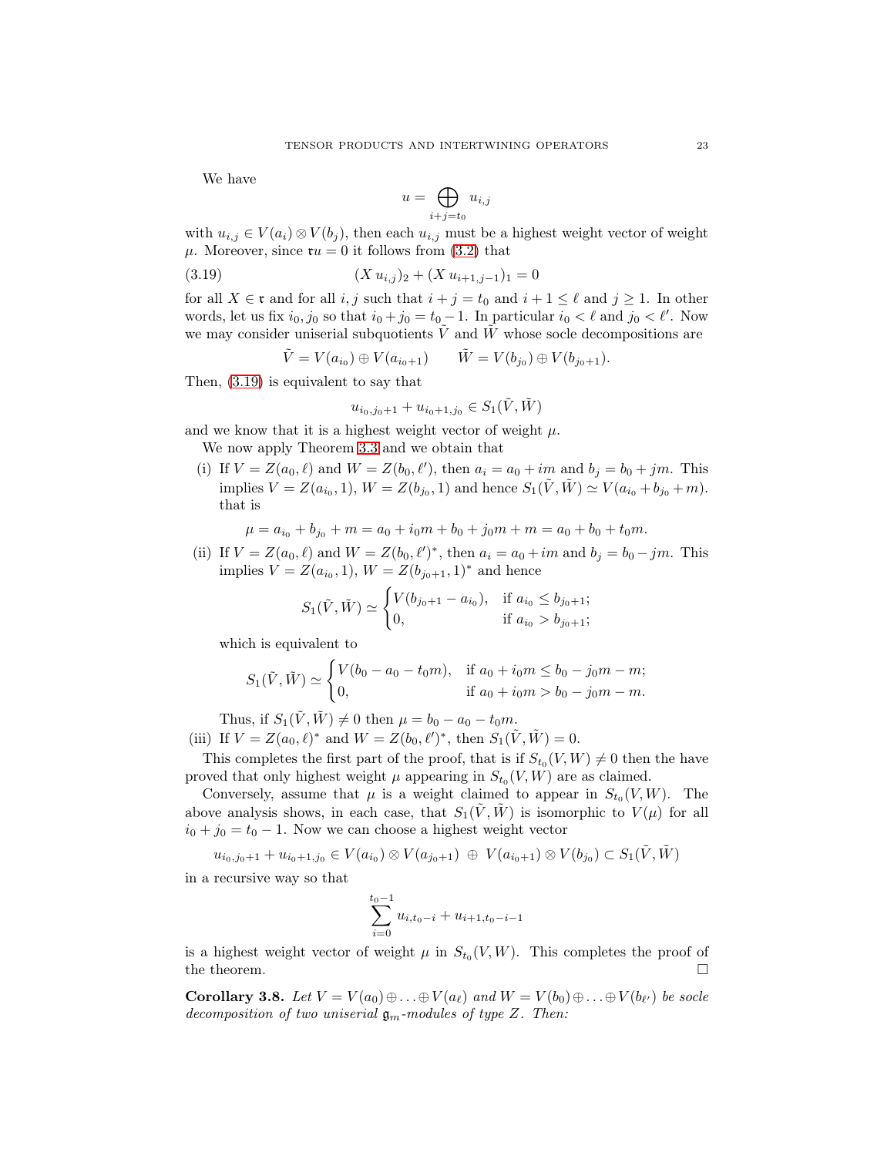We have

<span id="page-22-1"></span>
$$
u = \bigoplus_{i+j=t_0} u_{i,j}
$$

with  $u_{i,j} \in V(a_i) \otimes V(b_j)$ , then each  $u_{i,j}$  must be a highest weight vector of weight  $\mu$ . Moreover, since  $\mathfrak{r}u = 0$  it follows from [\(3.2\)](#page-8-2) that

$$
(3.19) \t\t (X u_{i,j})_2 + (X u_{i+1,j-1})_1 = 0
$$

for all  $X \in \mathfrak{r}$  and for all  $i, j$  such that  $i + j = t_0$  and  $i + 1 \leq \ell$  and  $j \geq 1$ . In other words, let us fix  $i_0, j_0$  so that  $i_0 + j_0 = t_0 - 1$ . In particular  $i_0 < \ell$  and  $j_0 < \ell'$ . Now we may consider uniserial subquotients  $V$  and  $W$  whose socle decompositions are

$$
\tilde{V} = V(a_{i_0}) \oplus V(a_{i_0+1}) \qquad \tilde{W} = V(b_{j_0}) \oplus V(b_{j_0+1}).
$$

Then, [\(3.19\)](#page-22-1) is equivalent to say that

$$
u_{i_0,j_0+1} + u_{i_0+1,j_0} \in S_1(\tilde{V}, \tilde{W})
$$

and we know that it is a highest weight vector of weight  $\mu$ .

We now apply Theorem [3.3](#page-11-0) and we obtain that

(i) If  $V = Z(a_0, \ell)$  and  $W = Z(b_0, \ell')$ , then  $a_i = a_0 + im$  and  $b_j = b_0 + jm$ . This implies  $V = Z(a_{i_0}, 1), W = Z(b_{j_0}, 1)$  and hence  $S_1(\tilde{V}, \tilde{W}) \simeq V(a_{i_0} + b_{j_0} + m)$ . that is

$$
\mu = a_{i_0} + b_{j_0} + m = a_0 + i_0 m + b_0 + j_0 m + m = a_0 + b_0 + t_0 m.
$$

(ii) If  $V = Z(a_0, \ell)$  and  $W = Z(b_0, \ell')^*$ , then  $a_i = a_0 + im$  and  $b_j = b_0 - jm$ . This implies  $V = Z(a_{i_0}, 1), W = Z(b_{j_0+1}, 1)^*$  and hence

$$
S_1(\tilde{V}, \tilde{W}) \simeq \begin{cases} V(b_{j_0+1} - a_{i_0}), & \text{if } a_{i_0} \le b_{j_0+1}; \\ 0, & \text{if } a_{i_0} > b_{j_0+1}; \end{cases}
$$

which is equivalent to

$$
S_1(\tilde{V}, \tilde{W}) \simeq \begin{cases} V(b_0 - a_0 - t_0 m), & \text{if } a_0 + i_0 m \le b_0 - j_0 m - m; \\ 0, & \text{if } a_0 + i_0 m > b_0 - j_0 m - m. \end{cases}
$$

Thus, if  $S_1(\tilde{V}, \tilde{W}) \neq 0$  then  $\mu = b_0 - a_0 - t_0m$ . (iii) If  $V = Z(a_0, \ell)^*$  and  $W = Z(b_0, \ell')^*$ , then  $S_1(\tilde{V}, \tilde{W}) = 0$ .

This completes the first part of the proof, that is if  $S_{t_0}(V, W) \neq 0$  then the have proved that only highest weight  $\mu$  appearing in  $S_{t_0}(V, W)$  are as claimed.

Conversely, assume that  $\mu$  is a weight claimed to appear in  $S_{t_0}(V, W)$ . The above analysis shows, in each case, that  $S_1(\tilde{V}, \tilde{W})$  is isomorphic to  $V(\mu)$  for all  $i_0 + j_0 = t_0 - 1$ . Now we can choose a highest weight vector

$$
u_{i_0,j_0+1} + u_{i_0+1,j_0} \in V(a_{i_0}) \otimes V(a_{j_0+1}) \oplus V(a_{i_0+1}) \otimes V(b_{j_0}) \subset S_1(\tilde{V},\tilde{W})
$$

in a recursive way so that

$$
\sum_{i=0}^{t_0-1} u_{i,t_0-i} + u_{i+1,t_0-i-1}
$$

is a highest weight vector of weight  $\mu$  in  $S_{t_0}(V, W)$ . This completes the proof of the theorem.  $\Box$ 

<span id="page-22-0"></span>**Corollary 3.8.** Let  $V = V(a_0) \oplus \ldots \oplus V(a_\ell)$  and  $W = V(b_0) \oplus \ldots \oplus V(b_{\ell'})$  be socle decomposition of two uniserial  $\mathfrak{g}_m$ -modules of type Z. Then: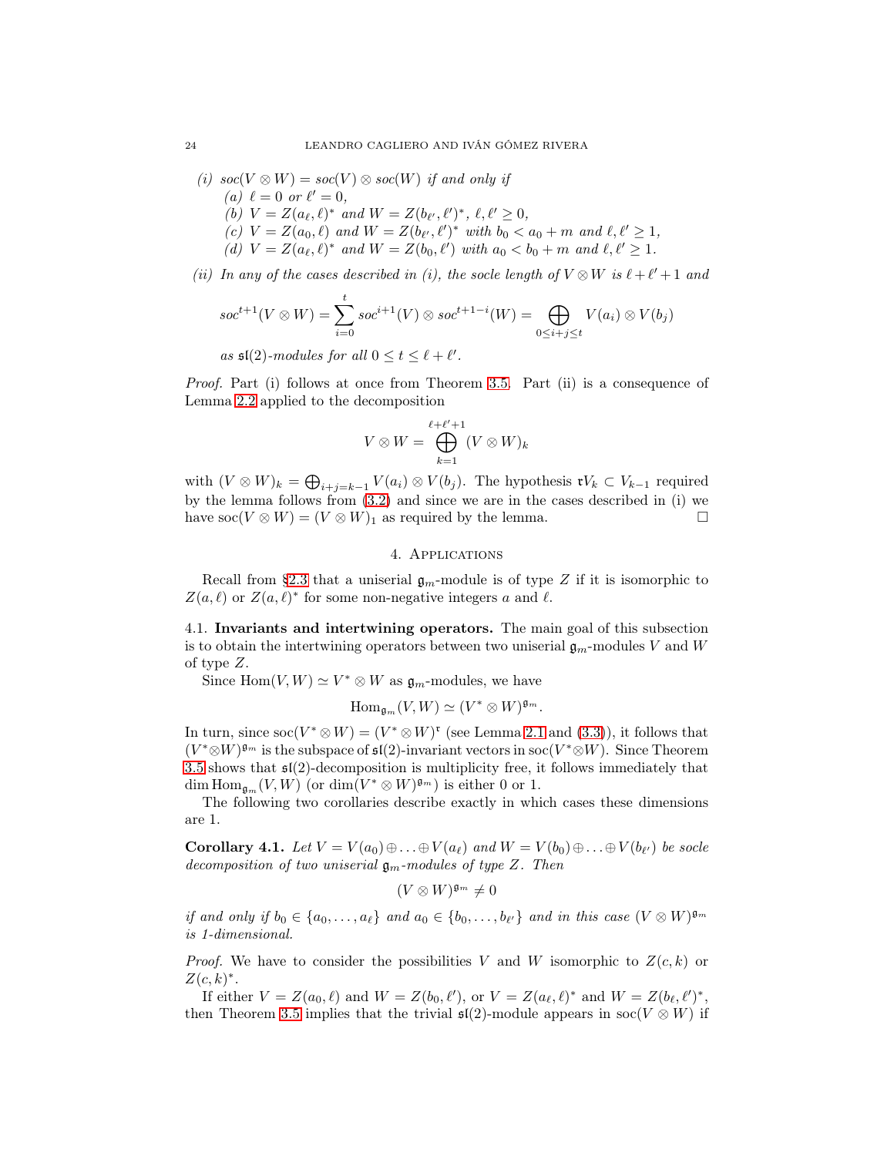(i)  $\operatorname{soc}(V \otimes W) = \operatorname{soc}(V) \otimes \operatorname{soc}(W)$  if and only if

- (a)  $\ell = 0$  or  $\ell' = 0$ ,
- (b)  $V = Z(a_{\ell}, \ell)^*$  and  $W = Z(b_{\ell'}, \ell')^*, \ell, \ell' \ge 0$ ,
- (c)  $V = Z(a_0, \ell)$  and  $W = Z(b_{\ell'}, \ell')^*$  with  $b_0 < a_0 + m$  and  $\ell, \ell' \geq 1$ ,
- (d)  $V = Z(a_{\ell}, \ell)^*$  and  $W = Z(b_0, \ell')$  with  $a_0 < b_0 + m$  and  $\ell, \ell' \geq 1$ .

(ii) In any of the cases described in (i), the socle length of  $V \otimes W$  is  $\ell + \ell' + 1$  and

$$
soc^{t+1}(V \otimes W) = \sum_{i=0}^{t} soc^{i+1}(V) \otimes soc^{t+1-i}(W) = \bigoplus_{0 \le i+j \le t} V(a_i) \otimes V(b_j)
$$

as  $\mathfrak{sl}(2)$ -modules for all  $0 \le t \le \ell + \ell'$ .

Proof. Part (i) follows at once from Theorem [3.5.](#page-20-0) Part (ii) is a consequence of Lemma [2.2](#page-6-2) applied to the decomposition

$$
V\otimes W=\bigoplus_{k=1}^{\ell+\ell'+1}(V\otimes W)_k
$$

with  $(V \otimes W)_k = \bigoplus_{i+j=k-1} V(a_i) \otimes V(b_j)$ . The hypothesis  $\mathfrak{r} V_k \subset V_{k-1}$  required by the lemma follows from [\(3.2\)](#page-8-2) and since we are in the cases described in (i) we have  $\operatorname{soc}(V \otimes W) = (V \otimes W)_1$  as required by the lemma.

## 4. Applications

Recall from [§2.3](#page-6-1) that a uniserial  $\mathfrak{g}_m$ -module is of type Z if it is isomorphic to  $Z(a, \ell)$  or  $Z(a, \ell)^*$  for some non-negative integers a and  $\ell$ .

4.1. Invariants and intertwining operators. The main goal of this subsection is to obtain the intertwining operators between two uniserial  $\mathfrak{g}_m$ -modules V and W of type Z.

Since  $\text{Hom}(V, W) \simeq V^* \otimes W$  as  $\mathfrak{g}_m$ -modules, we have

$$
\mathrm{Hom}_{\mathfrak{g}_m}(V,W)\simeq (V^*\otimes W)^{\mathfrak{g}_m}.
$$

In turn, since  $\operatorname{soc}(V^* \otimes W) = (V^* \otimes W)^*$  (see Lemma [2.1](#page-5-0) and [\(3.3\)](#page-8-3)), it follows that  $(V^* \otimes W)^{\mathfrak{g}_m}$  is the subspace of  $\mathfrak{sl}(2)$ -invariant vectors in soc $(V^* \otimes W)$ . Since Theorem [3.5](#page-20-0) shows that sl(2)-decomposition is multiplicity free, it follows immediately that dim  $\text{Hom}_{\mathfrak{g}_m}(V,W)$  (or  $\dim(V^* \otimes W)^{\mathfrak{g}_m}$ ) is either 0 or 1.

The following two corollaries describe exactly in which cases these dimensions are 1.

<span id="page-23-0"></span>**Corollary 4.1.** Let  $V = V(a_0) \oplus \ldots \oplus V(a_\ell)$  and  $W = V(b_0) \oplus \ldots \oplus V(b_{\ell'})$  be socle decomposition of two uniserial  $\mathfrak{g}_m$ -modules of type Z. Then

 $(V \otimes W)^{\mathfrak{g}_m} \neq 0$ 

if and only if  $b_0 \in \{a_0, \ldots, a_\ell\}$  and  $a_0 \in \{b_0, \ldots, b_{\ell'}\}$  and in this case  $(V \otimes W)^{\mathfrak{g}_m}$ is 1-dimensional.

*Proof.* We have to consider the possibilities V and W isomorphic to  $Z(c, k)$  or  $Z(c,k)^*$ .

If either  $V = Z(a_0, \ell)$  and  $W = Z(b_0, \ell'),$  or  $V = Z(a_\ell, \ell)^*$  and  $W = Z(b_\ell, \ell')^*$ , then Theorem [3.5](#page-20-0) implies that the trivial  $\mathfrak{sl}(2)$ -module appears in soc(V ⊗ W) if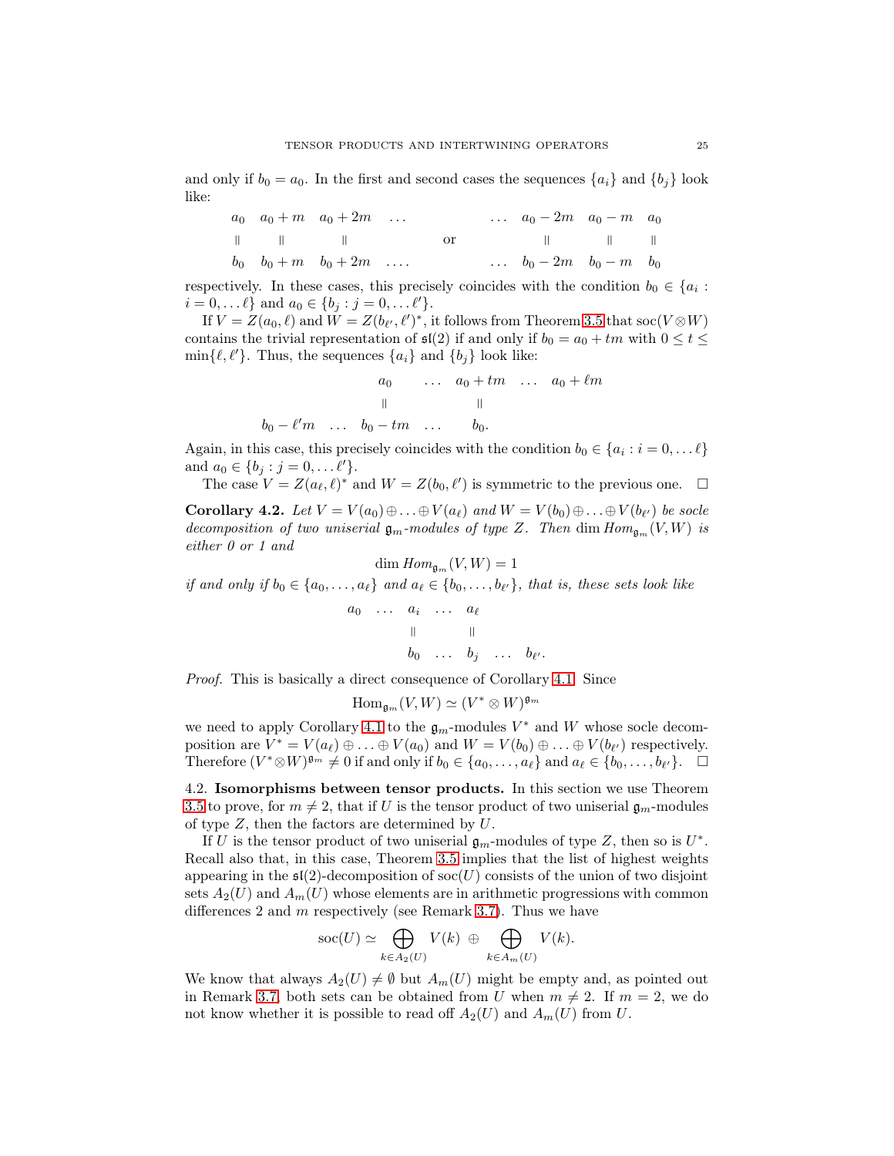and only if  $b_0 = a_0$ . In the first and second cases the sequences  $\{a_i\}$  and  $\{b_i\}$  look like:

| $a_0$ | $a_0 + m$ | $a_0 + 2m$ | ... | ... | $a_0 - 2m$ | $a_0 - m$ | $a_0$ |
|-------|-----------|------------|-----|-----|------------|-----------|-------|
|       |           |            | 0r  |     |            |           |       |
| $b_0$ | $b_0 + m$ | $b_0 + 2m$ | ... | ... | $b_0 - 2m$ | $b_0 - m$ | $b_0$ |

respectively. In these cases, this precisely coincides with the condition  $b_0 \in \{a_i :$  $i = 0, \dots \ell$  and  $a_0 \in \{b_j : j = 0, \dots \ell'\}.$ 

If  $V = Z(a_0, \ell)$  and  $W = Z(b_{\ell'}, \ell')^*$ , it follows from Theorem [3.5](#page-20-0) that soc $(V \otimes W)$ contains the trivial representation of  $\mathfrak{sl}(2)$  if and only if  $b_0 = a_0 + tm$  with  $0 \le t \le$  $\min\{\ell, \ell'\}.$  Thus, the sequences  $\{a_i\}$  and  $\{b_j\}$  look like:

$$
a_0
$$
 ...  $a_0 + tm$  ...  $a_0 + \ell m$   
\n $||$  ||  
\n $b_0 - \ell'm$  ...  $b_0 - tm$  ...  $b_0$ .

Again, in this case, this precisely coincides with the condition  $b_0 \in \{a_i : i = 0, \dots \ell\}$ and  $a_0 \in \{b_j : j = 0, \ldots l'\}.$ 

The case  $V = Z(a_{\ell}, \ell)^*$  and  $W = Z(b_0, \ell')$  is symmetric to the previous one.  $\Box$ 

<span id="page-24-0"></span>**Corollary 4.2.** Let  $V = V(a_0) \oplus \ldots \oplus V(a_{\ell})$  and  $W = V(b_0) \oplus \ldots \oplus V(b_{\ell'})$  be socle decomposition of two uniserial  $\mathfrak{g}_m$ -modules of type Z. Then dim  $Hom_{\mathfrak{g}_m}(V, W)$  is either 0 or 1 and

$$
\dim \operatorname{Hom}_{\mathfrak{g}_m}(V,W) = 1
$$

if and only if  $b_0 \in \{a_0, \ldots, a_\ell\}$  and  $a_\ell \in \{b_0, \ldots, b_{\ell'}\}$ , that is, these sets look like

$$
a_0 \cdots a_i \cdots a_\ell
$$
  
\n
$$
\parallel \qquad \parallel
$$
  
\n
$$
b_0 \cdots b_j \cdots b_{\ell'}.
$$

Proof. This is basically a direct consequence of Corollary [4.1.](#page-23-0) Since

$$
\mathrm{Hom}_{\mathfrak{g}_m}(V,W)\simeq (V^*\otimes W)^{\mathfrak{g}_m}
$$

we need to apply Corollary [4.1](#page-23-0) to the  $\mathfrak{g}_m$ -modules  $V^*$  and W whose socle decomposition are  $V^* = V(a_\ell) \oplus \ldots \oplus V(a_0)$  and  $W = V(b_0) \oplus \ldots \oplus V(b_{\ell'})$  respectively. Therefore  $(V^* \otimes W)^{\mathfrak{g}_m} \neq 0$  if and only if  $b_0 \in \{a_0, \ldots, a_\ell\}$  and  $a_\ell \in \{b_0, \ldots, b_{\ell'}\}$ .  $\Box$ 

4.2. Isomorphisms between tensor products. In this section we use Theorem [3.5](#page-20-0) to prove, for  $m \neq 2$ , that if U is the tensor product of two uniserial  $\mathfrak{g}_m$ -modules of type  $Z$ , then the factors are determined by  $U$ .

If U is the tensor product of two uniserial  $\mathfrak{g}_m$ -modules of type Z, then so is  $U^*$ . Recall also that, in this case, Theorem [3.5](#page-20-0) implies that the list of highest weights appearing in the  $\mathfrak{sl}(2)$ -decomposition of soc $(U)$  consists of the union of two disjoint sets  $A_2(U)$  and  $A_m(U)$  whose elements are in arithmetic progressions with common differences 2 and  $m$  respectively (see Remark [3.7\)](#page-21-0). Thus we have

$$
\operatorname{soc}(U) \simeq \bigoplus_{k \in A_2(U)} V(k) \oplus \bigoplus_{k \in A_m(U)} V(k).
$$

We know that always  $A_2(U) \neq \emptyset$  but  $A_m(U)$  might be empty and, as pointed out in Remark [3.7,](#page-21-0) both sets can be obtained from U when  $m \neq 2$ . If  $m = 2$ , we do not know whether it is possible to read off  $A_2(U)$  and  $A_m(U)$  from U.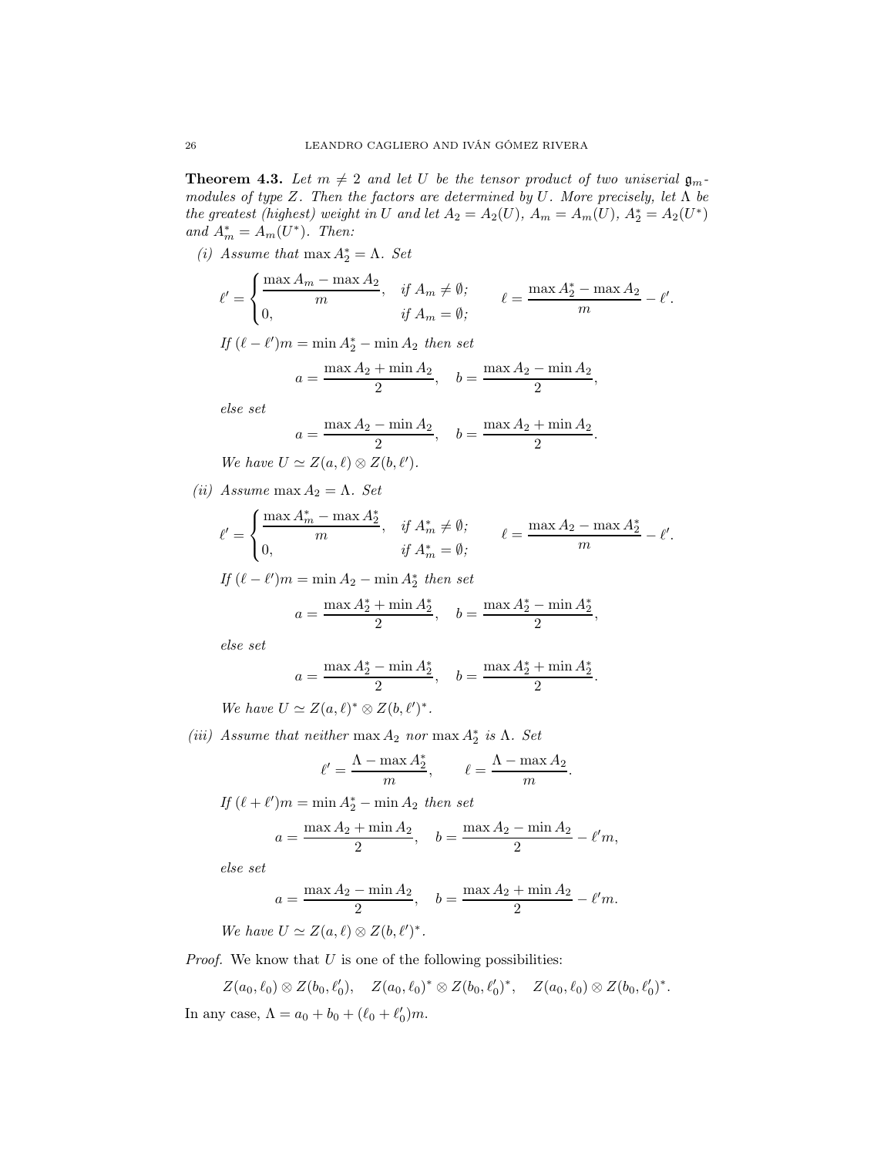<span id="page-25-0"></span>**Theorem 4.3.** Let  $m \neq 2$  and let U be the tensor product of two uniserial  $\mathfrak{g}_m$ . modules of type Z. Then the factors are determined by U. More precisely, let  $\Lambda$  be the greatest (highest) weight in U and let  $A_2 = A_2(U)$ ,  $A_m = A_m(U)$ ,  $A_2^* = A_2(U^*)$ and  $A_m^* = A_m(U^*)$ . Then:

(i) Assume that  $\max A_2^* = \Lambda$ . Set

$$
\ell' = \begin{cases} \frac{\max A_m - \max A_2}{m}, & \text{if } A_m \neq \emptyset; \\ 0, & \text{if } A_m = \emptyset; \end{cases} \qquad \ell = \frac{\max A_2^* - \max A_2}{m} - \ell'.
$$

If  $(\ell - \ell')m = \min A_2^* - \min A_2$  then set

$$
a = \frac{\max A_2 + \min A_2}{2}
$$
,  $b = \frac{\max A_2 - \min A_2}{2}$ ,

else set

$$
a = \frac{\max A_2 - \min A_2}{2}, \quad b = \frac{\max A_2 + \min A_2}{2}.
$$

We have  $U \simeq Z(a, \ell) \otimes Z(b, \ell').$ 

(ii) Assume max  $A_2 = \Lambda$ . Set

$$
\ell' = \begin{cases} \frac{\max A_m^* - \max A_2^*}{m}, & \text{if } A_m^* \neq \emptyset; \\ 0, & \text{if } A_m^* = \emptyset; \end{cases} \qquad \ell = \frac{\max A_2 - \max A_2^*}{m} - \ell'.
$$

If  $(\ell - \ell')m = \min A_2 - \min A_2^*$  then set  $a = \frac{\max A_2^* + \min A_2^*}{2}$  $\frac{1}{2} + \min A_2^*$ ,  $b = \frac{\max A_2^* - \min A_2^*}{2}$ 

else set

$$
a = \frac{\max A_2^* - \min A_2^*}{2}, \quad b = \frac{\max A_2^* + \min A_2^*}{2}
$$

 $\frac{1}{2},$ 

.

We have  $U \simeq Z(a,\ell)^* \otimes Z(b,\ell')^*$ .

(iii) Assume that neither max  $A_2$  nor max  $A_2^*$  is  $\Lambda$ . Set

$$
\ell' = \frac{\Lambda - \max A_2^*}{m}, \qquad \ell = \frac{\Lambda - \max A_2}{m}.
$$

## If  $(\ell + \ell')m = \min A_2^* - \min A_2$  then set  $a = \frac{\max A_2 + \min A_2}{2}$  $\frac{1 + \min A_2}{2}$ ,  $b = \frac{\max A_2 - \min A_2}{2}$  $\frac{1}{2} - \ell' m,$

else set

$$
a = \frac{\max A_2 - \min A_2}{2}
$$
,  $b = \frac{\max A_2 + \min A_2}{2} - \ell'm$ .

We have  $U \simeq Z(a,\ell) \otimes Z(b,\ell')^*$ .

*Proof.* We know that  $U$  is one of the following possibilities:

$$
Z(a_0, \ell_0) \otimes Z(b_0, \ell'_0), \quad Z(a_0, \ell_0)^* \otimes Z(b_0, \ell'_0)^*, \quad Z(a_0, \ell_0) \otimes Z(b_0, \ell'_0)^*.
$$

In any case,  $\Lambda = a_0 + b_0 + (\ell_0 + \ell'_0)m$ .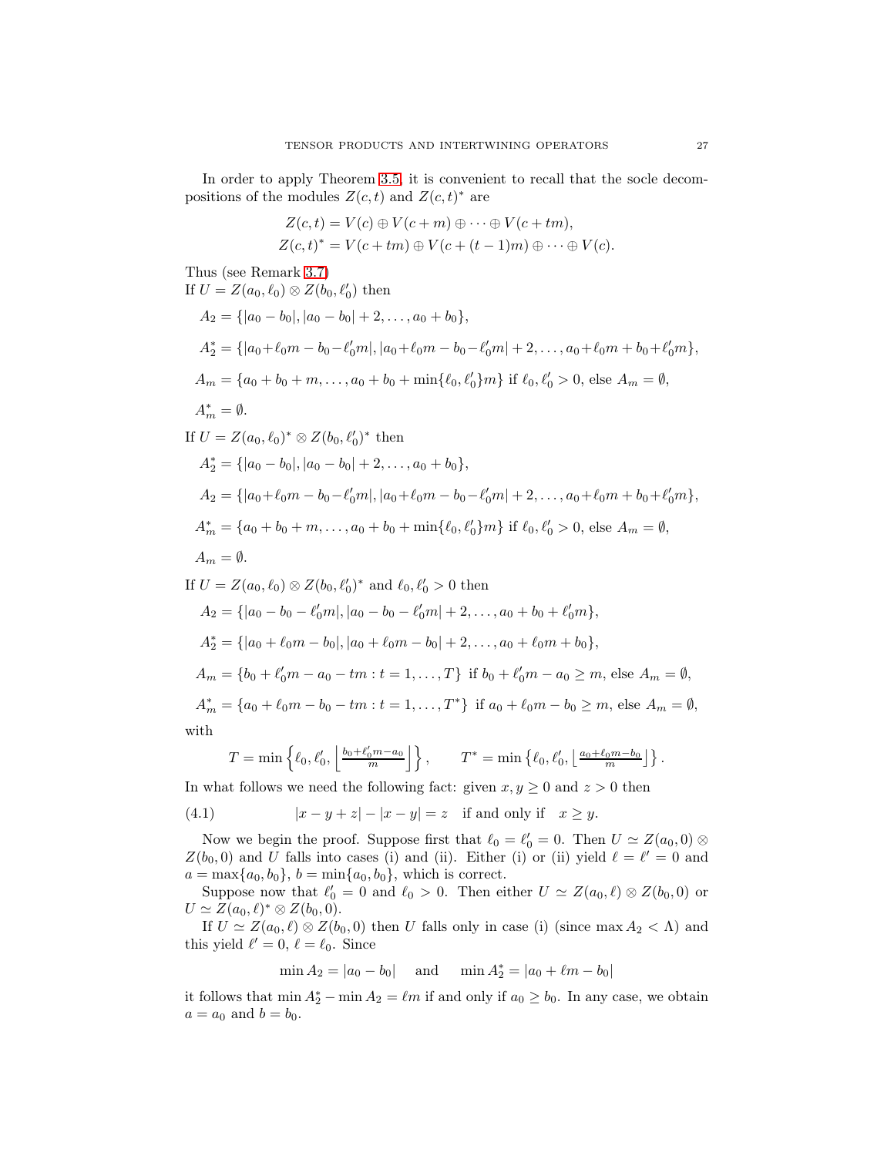In order to apply Theorem [3.5,](#page-20-0) it is convenient to recall that the socle decompositions of the modules  $Z(c, t)$  and  $Z(c, t)^*$  are

$$
Z(c,t) = V(c) \oplus V(c+m) \oplus \cdots \oplus V(c+tm),
$$
  
\n
$$
Z(c,t)^* = V(c+tm) \oplus V(c+(t-1)m) \oplus \cdots \oplus V(c).
$$

Thus (see Remark [3.7\)](#page-21-0) If  $U = Z(a_0, \ell_0) \otimes Z(b_0, \ell'_0)$  then  $A_2 = \{|a_0 - b_0|, |a_0 - b_0| + 2, \ldots, a_0 + b_0\},\$  $A_2^* = \{ |a_0 + \ell_0 m - b_0 - \ell'_0 m|, |a_0 + \ell_0 m - b_0 - \ell'_0 m| + 2, \ldots, a_0 + \ell_0 m + b_0 + \ell'_0 m \},\$  $A_m = \{a_0 + b_0 + m, \ldots, a_0 + b_0 + \min\{\ell_0, \ell'_0\}m\}$  if  $\ell_0, \ell'_0 > 0$ , else  $A_m = \emptyset$ ,  $A_m^* = \emptyset.$ If  $U = Z(a_0, \ell_0)^* \otimes Z(b_0, \ell'_0)^*$  then  $A_2^* = \{ |a_0 - b_0|, |a_0 - b_0| + 2, \ldots, a_0 + b_0 \},\$  $A_2 = \{ |a_0 + \ell_0 m - b_0 - \ell'_0 m|, |a_0 + \ell_0 m - b_0 - \ell'_0 m| + 2, \ldots, a_0 + \ell_0 m + b_0 + \ell'_0 m \},\$  $A_m^* = \{a_0 + b_0 + m, \ldots, a_0 + b_0 + \min\{\ell_0, \ell_0'\}m\}$  if  $\ell_0, \ell_0' > 0$ , else  $A_m = \emptyset$ ,  $A_m = \emptyset$ . If  $U = Z(a_0, \ell_0) \otimes Z(b_0, \ell'_0)^*$  and  $\ell_0, \ell'_0 > 0$  then  $A_2 = \{ |a_0 - b_0 - \ell'_0 m|, |a_0 - b_0 - \ell'_0 m| + 2, \ldots, a_0 + b_0 + \ell'_0 m \},\$  $A_2^* = \{ |a_0 + \ell_0 m - b_0|, |a_0 + \ell_0 m - b_0| + 2, \ldots, a_0 + \ell_0 m + b_0 \},\$  $A_m = \{b_0 + \ell'_0 m - a_0 - tm : t = 1, ..., T\}$  if  $b_0 + \ell'_0 m - a_0 \ge m$ , else  $A_m = \emptyset$ ,  $A_m^* = \{a_0 + \ell_0 m - b_0 - tm : t = 1, ..., T^*\}$  if  $a_0 + \ell_0 m - b_0 \ge m$ , else  $A_m = \emptyset$ , with ′

<span id="page-26-0"></span>
$$
T = \min\left\{\ell_0, \ell'_0, \left\lfloor \frac{b_0 + \ell'_0 m - a_0}{m} \right\rfloor\right\}, \qquad T^* = \min\left\{\ell_0, \ell'_0, \left\lfloor \frac{a_0 + \ell_0 m - b_0}{m} \right\rfloor\right\}.
$$

In what follows we need the following fact: given  $x, y \geq 0$  and  $z > 0$  then

(4.1) 
$$
|x - y + z| - |x - y| = z \quad \text{if and only if} \quad x \ge y.
$$

Now we begin the proof. Suppose first that  $\ell_0 = \ell'_0 = 0$ . Then  $U \simeq Z(a_0, 0) \otimes$  $Z(b_0, 0)$  and U falls into cases (i) and (ii). Either (i) or (ii) yield  $\ell = \ell' = 0$  and  $a = \max\{a_0, b_0\}, b = \min\{a_0, b_0\}$ , which is correct.

Suppose now that  $\ell'_0 = 0$  and  $\ell_0 > 0$ . Then either  $U \simeq Z(a_0, \ell) \otimes Z(b_0, 0)$  or  $U \simeq Z(a_0, \ell)^* \otimes Z(b_0, 0).$ 

If  $U \simeq Z(a_0, \ell) \otimes Z(b_0, 0)$  then U falls only in case (i) (since max  $A_2 < \Lambda$ ) and this yield  $\ell' = 0$ ,  $\ell = \ell_0$ . Since

$$
\min A_2 = |a_0 - b_0|
$$
 and  $\min A_2^* = |a_0 + \ell m - b_0|$ 

it follows that  $\min A_2^* - \min A_2 = \ell m$  if and only if  $a_0 \ge b_0$ . In any case, we obtain  $a = a_0$  and  $b = b_0$ .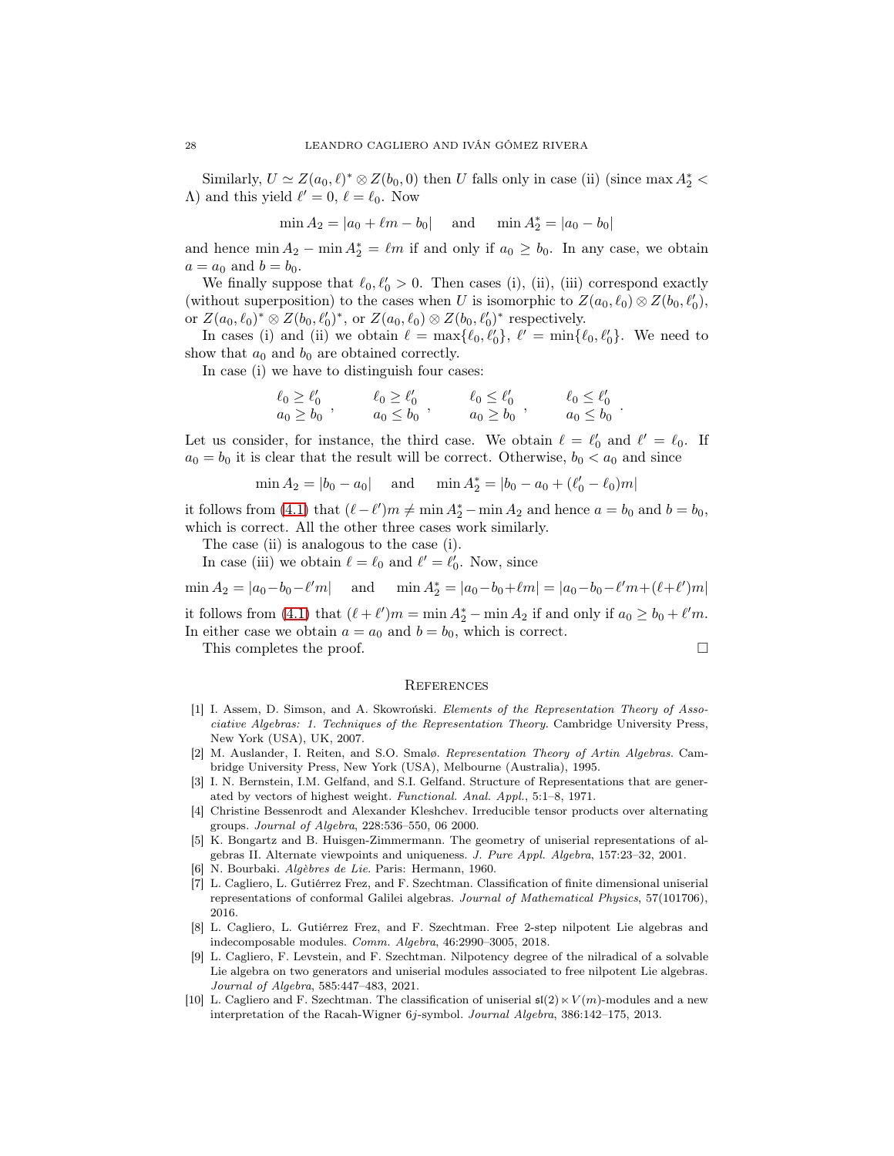Similarly,  $U \simeq Z(a_0, \ell)^* \otimes Z(b_0, 0)$  then U falls only in case (ii) (since max  $A_2^*$  <  $\Lambda$ ) and this yield  $\ell' = 0, \ell = \ell_0$ . Now

$$
\min A_2 = |a_0 + \ell m - b_0|
$$
 and  $\min A_2^* = |a_0 - b_0|$ 

and hence  $\min A_2 - \min A_2^* = \ell m$  if and only if  $a_0 \ge b_0$ . In any case, we obtain  $a = a_0$  and  $b = b_0$ .

We finally suppose that  $\ell_0, \ell'_0 > 0$ . Then cases (i), (ii), (iii) correspond exactly (without superposition) to the cases when U is isomorphic to  $Z(a_0, \ell_0) \otimes Z(b_0, \ell'_0)$ , or  $Z(a_0, \ell_0)^* \otimes Z(b_0, \ell_0')^*$ , or  $Z(a_0, \ell_0) \otimes Z(b_0, \ell_0')^*$  respectively.

In cases (i) and (ii) we obtain  $\ell = \max{\{\ell_0, \ell'_0\}}, \ell' = \min{\{\ell_0, \ell'_0\}}$ . We need to show that  $a_0$  and  $b_0$  are obtained correctly.

In case (i) we have to distinguish four cases:

$$
\begin{array}{lll}\n\ell_0 \geq \ell'_0 & \ell_0 \geq \ell'_0 \\
a_0 \geq b_0 & \ddots & \ddots & \ddots \\
a_0 \leq b_0 & \ddots & \ddots & \ddots \\
a_0 \leq b_0 & \ddots & \ddots & \ddots \\
a_0 \geq b_0 & \ddots & \ddots & \ddots \\
a_0 \geq b_0 & \ddots & \ddots & \ddots \\
a_0 \geq b_0 & \ddots & \ddots & \ddots \\
a_0 \geq b_0 & \ddots & \ddots & \ddots \\
a_0 \geq b_0 & \ddots & \ddots & \ddots \\
a_0 \geq b_0 & \ddots & \ddots & \ddots \\
a_0 \geq b_0 & \ddots & \ddots & \ddots \\
a_0 \geq b_0 & \ddots & \ddots & \ddots \\
a_0 \geq b_0 & \ddots & \ddots & \ddots \\
a_0 \geq b_0 & \ddots & \ddots & \ddots \\
a_0 \geq b_0 & \ddots & \ddots & \ddots \\
a_0 \geq b_0 & \ddots & \ddots & \ddots \\
a_0 \geq b_0 & \ddots & \ddots & \ddots \\
a_0 \geq b_0 & \ddots & \ddots & \ddots \\
a_0 \geq b_0 & \ddots & \ddots & \ddots \\
a_0 \geq b_0 & \ddots & \ddots & \ddots \\
a_0 \geq b_0 & \ddots & \ddots & \ddots \\
a_0 \geq b_0 & \ddots & \ddots & \ddots \\
a_0 \geq b_0 & \ddots & \ddots & \ddots \\
a_0 \geq b_0 & \ddots & \ddots & \ddots \\
a_0 \geq b_0 & \ddots & \ddots & \ddots \\
a_0 \geq b_0 & \ddots & \ddots & \ddots \\
a_0 \geq b_0 & \ddots & \ddots & \
$$

Let us consider, for instance, the third case. We obtain  $\ell = \ell'_0$  and  $\ell' = \ell_0$ . If  $a_0 = b_0$  it is clear that the result will be correct. Otherwise,  $b_0 < a_0$  and since

$$
\min A_2 = |b_0 - a_0|
$$
 and  $\min A_2^* = |b_0 - a_0 + (\ell'_0 - \ell_0)m|$ 

it follows from [\(4.1\)](#page-26-0) that  $(\ell - \ell')m \neq \min A_2^* - \min A_2$  and hence  $a = b_0$  and  $b = b_0$ , which is correct. All the other three cases work similarly.

The case (ii) is analogous to the case (i).

In case (iii) we obtain  $\ell = \ell_0$  and  $\ell' = \ell'_0$ . Now, since

 $\min A_2 = |a_0 - b_0 - \ell' m|$  and  $\min A_2^* = |a_0 - b_0 + \ell m| = |a_0 - b_0 - \ell' m + (\ell + \ell') m|$ 

it follows from [\(4.1\)](#page-26-0) that  $(\ell + \ell')m = \min A_2^* - \min A_2$  if and only if  $a_0 \ge b_0 + \ell'm$ . In either case we obtain  $a = a_0$  and  $b = b_0$ , which is correct.

This completes the proof.

#### **REFERENCES**

- <span id="page-27-4"></span>[1] I. Assem, D. Simson, and A. Skowroński. Elements of the Representation Theory of Associative Algebras: 1. Techniques of the Representation Theory. Cambridge University Press, New York (USA), UK, 2007.
- <span id="page-27-5"></span>[2] M. Auslander, I. Reiten, and S.O. Smalø. Representation Theory of Artin Algebras. Cambridge University Press, New York (USA), Melbourne (Australia), 1995.
- <span id="page-27-7"></span>[3] I. N. Bernstein, I.M. Gelfand, and S.I. Gelfand. Structure of Representations that are generated by vectors of highest weight. Functional. Anal. Appl., 5:1–8, 1971.
- <span id="page-27-8"></span>[4] Christine Bessenrodt and Alexander Kleshchev. Irreducible tensor products over alternating groups. Journal of Algebra, 228:536–550, 06 2000.
- <span id="page-27-6"></span>[5] K. Bongartz and B. Huisgen-Zimmermann. The geometry of uniserial representations of algebras II. Alternate viewpoints and uniqueness. J. Pure Appl. Algebra, 157:23–32, 2001.
- <span id="page-27-9"></span><span id="page-27-2"></span>[6] N. Bourbaki. Algèbres de Lie. Paris: Hermann, 1960.
- [7] L. Cagliero, L. Gutiérrez Frez, and F. Szechtman. Classification of finite dimensional uniserial representations of conformal Galilei algebras. Journal of Mathematical Physics, 57(101706), 2016.
- <span id="page-27-1"></span>[8] L. Cagliero, L. Gutiérrez Frez, and F. Szechtman. Free 2-step nilpotent Lie algebras and indecomposable modules. Comm. Algebra, 46:2990–3005, 2018.
- <span id="page-27-3"></span>[9] L. Cagliero, F. Levstein, and F. Szechtman. Nilpotency degree of the nilradical of a solvable Lie algebra on two generators and uniserial modules associated to free nilpotent Lie algebras. Journal of Algebra, 585:447–483, 2021.
- <span id="page-27-0"></span>[10] L. Cagliero and F. Szechtman. The classification of uniserial  $\mathfrak{sl}(2) \ltimes V(m)$ -modules and a new interpretation of the Racah-Wigner 6j-symbol. Journal Algebra, 386:142–175, 2013.